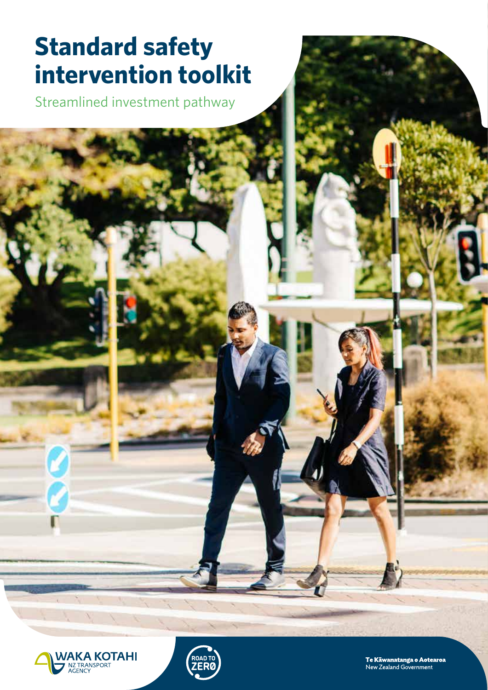# **Standard safety intervention toolkit**

Streamlined investment pathway





Te Kāwanatanga o Aotearoa New Zealand Government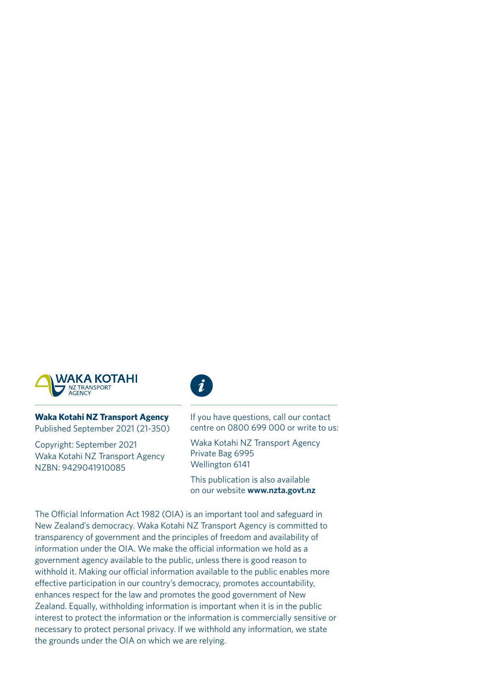

**Waka Kotahi NZ Transport Agency** Published September 2021 (21-350)

Copyright: September 2021 Waka Kotahi NZ Transport Agency NZBN: 9429041910085



If you have questions, call our contact centre on 0800 699 000 or write to us:

Waka Kotahi NZ Transport Agency Private Bag 6995 Wellington 6141

This publication is also available on our website **www.nzta.govt.nz**

The Official Information Act 1982 (OIA) is an important tool and safeguard in New Zealand's democracy. Waka Kotahi NZ Transport Agency is committed to transparency of government and the principles of freedom and availability of information under the OIA. We make the official information we hold as a government agency available to the public, unless there is good reason to withhold it. Making our official information available to the public enables more effective participation in our country's democracy, promotes accountability, enhances respect for the law and promotes the good government of New Zealand. Equally, withholding information is important when it is in the public interest to protect the information or the information is commercially sensitive or necessary to protect personal privacy. If we withhold any information, we state the grounds under the OIA on which we are relying.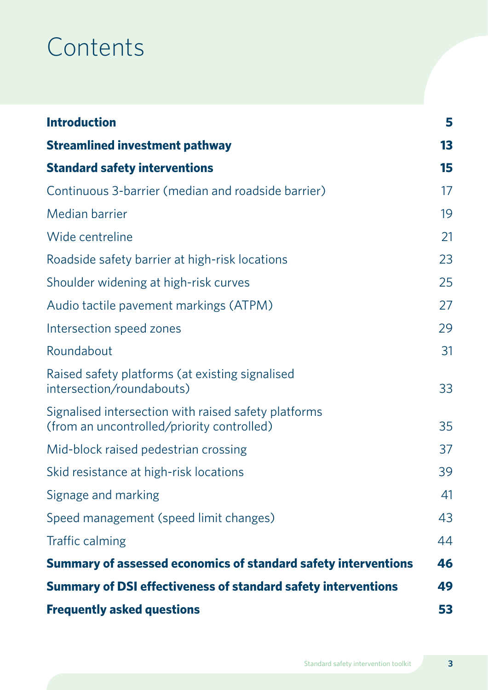# Contents

| <b>Introduction</b>                                                                                | 5  |
|----------------------------------------------------------------------------------------------------|----|
| <b>Streamlined investment pathway</b>                                                              | 13 |
| <b>Standard safety interventions</b>                                                               | 15 |
| Continuous 3-barrier (median and roadside barrier)                                                 | 17 |
| Median barrier                                                                                     | 19 |
| Wide centreline                                                                                    | 21 |
| Roadside safety barrier at high-risk locations                                                     | 23 |
| Shoulder widening at high-risk curves                                                              | 25 |
| Audio tactile pavement markings (ATPM)                                                             | 27 |
| Intersection speed zones                                                                           | 29 |
| Roundabout                                                                                         | 31 |
| Raised safety platforms (at existing signalised<br>intersection/roundabouts)                       | 33 |
| Signalised intersection with raised safety platforms<br>(from an uncontrolled/priority controlled) | 35 |
| Mid-block raised pedestrian crossing                                                               | 37 |
| Skid resistance at high-risk locations                                                             | 39 |
| Signage and marking                                                                                | 41 |
| Speed management (speed limit changes)                                                             | 43 |
| Traffic calming                                                                                    | 44 |
| <b>Summary of assessed economics of standard safety interventions</b>                              | 46 |
| <b>Summary of DSI effectiveness of standard safety interventions</b>                               | 49 |
| <b>Frequently asked questions</b>                                                                  | 53 |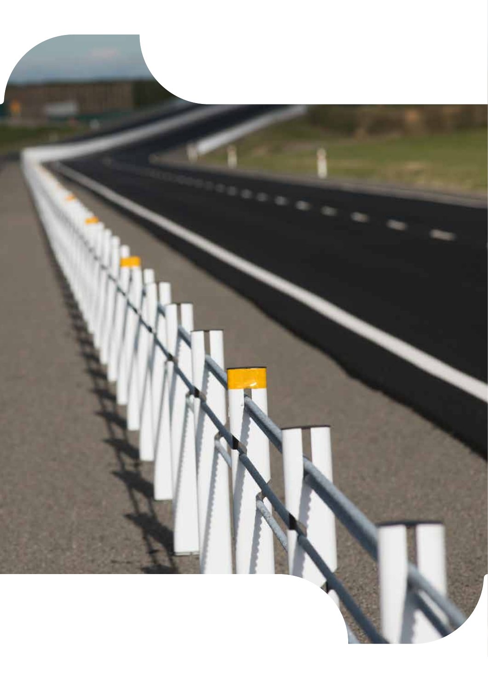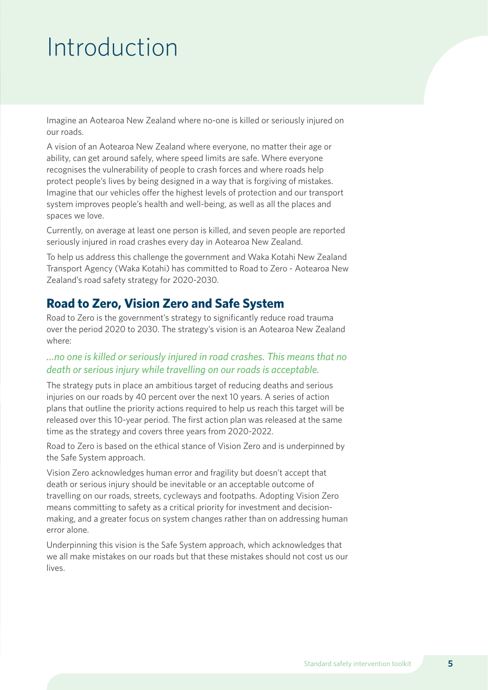## <span id="page-4-0"></span>Introduction

Imagine an Aotearoa New Zealand where no-one is killed or seriously injured on our roads.

A vision of an Aotearoa New Zealand where everyone, no matter their age or ability, can get around safely, where speed limits are safe. Where everyone recognises the vulnerability of people to crash forces and where roads help protect people's lives by being designed in a way that is forgiving of mistakes. Imagine that our vehicles offer the highest levels of protection and our transport system improves people's health and well-being, as well as all the places and spaces we love.

Currently, on average at least one person is killed, and seven people are reported seriously injured in road crashes every day in Aotearoa New Zealand.

To help us address this challenge the government and Waka Kotahi New Zealand Transport Agency (Waka Kotahi) has committed to Road to Zero - Aotearoa New Zealand's road safety strategy for 2020-2030.

### **Road to Zero, Vision Zero and Safe System**

Road to Zero is the government's strategy to significantly reduce road trauma over the period 2020 to 2030. The strategy's vision is an Aotearoa New Zealand where:

#### *…no one is killed or seriously injured in road crashes. This means that no death or serious injury while travelling on our roads is acceptable.*

The strategy puts in place an ambitious target of reducing deaths and serious injuries on our roads by 40 percent over the next 10 years. A series of action plans that outline the priority actions required to help us reach this target will be released over this 10-year period. The first action plan was released at the same time as the strategy and covers three years from 2020-2022.

Road to Zero is based on the ethical stance of Vision Zero and is underpinned by the Safe System approach.

Vision Zero acknowledges human error and fragility but doesn't accept that death or serious injury should be inevitable or an acceptable outcome of travelling on our roads, streets, cycleways and footpaths. Adopting Vision Zero means committing to safety as a critical priority for investment and decisionmaking, and a greater focus on system changes rather than on addressing human error alone.

Underpinning this vision is the Safe System approach, which acknowledges that we all make mistakes on our roads but that these mistakes should not cost us our lives.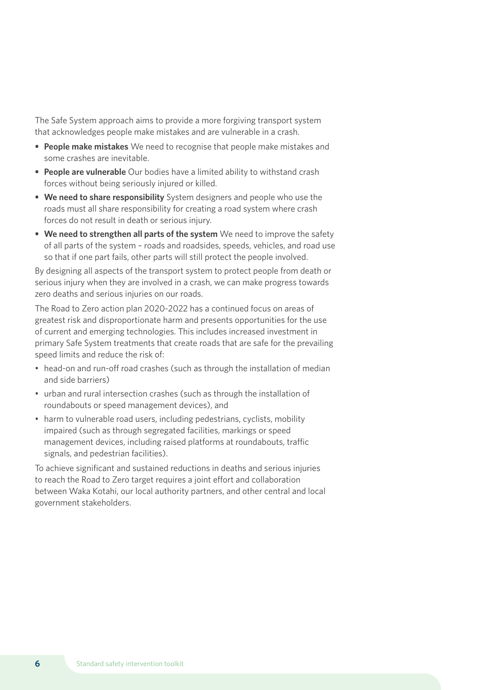The Safe System approach aims to provide a more forgiving transport system that acknowledges people make mistakes and are vulnerable in a crash.

- **• People make mistakes** We need to recognise that people make mistakes and some crashes are inevitable.
- **• People are vulnerable** Our bodies have a limited ability to withstand crash forces without being seriously injured or killed.
- **• We need to share responsibility** System designers and people who use the roads must all share responsibility for creating a road system where crash forces do not result in death or serious injury.
- **• We need to strengthen all parts of the system** We need to improve the safety of all parts of the system – roads and roadsides, speeds, vehicles, and road use so that if one part fails, other parts will still protect the people involved.

By designing all aspects of the transport system to protect people from death or serious injury when they are involved in a crash, we can make progress towards zero deaths and serious injuries on our roads.

The Road to Zero action plan 2020-2022 has a continued focus on areas of greatest risk and disproportionate harm and presents opportunities for the use of current and emerging technologies. This includes increased investment in primary Safe System treatments that create roads that are safe for the prevailing speed limits and reduce the risk of:

- head-on and run-off road crashes (such as through the installation of median and side barriers)
- urban and rural intersection crashes (such as through the installation of roundabouts or speed management devices), and
- harm to vulnerable road users, including pedestrians, cyclists, mobility impaired (such as through segregated facilities, markings or speed management devices, including raised platforms at roundabouts, traffic signals, and pedestrian facilities).

To achieve significant and sustained reductions in deaths and serious injuries to reach the Road to Zero target requires a joint effort and collaboration between Waka Kotahi, our local authority partners, and other central and local government stakeholders.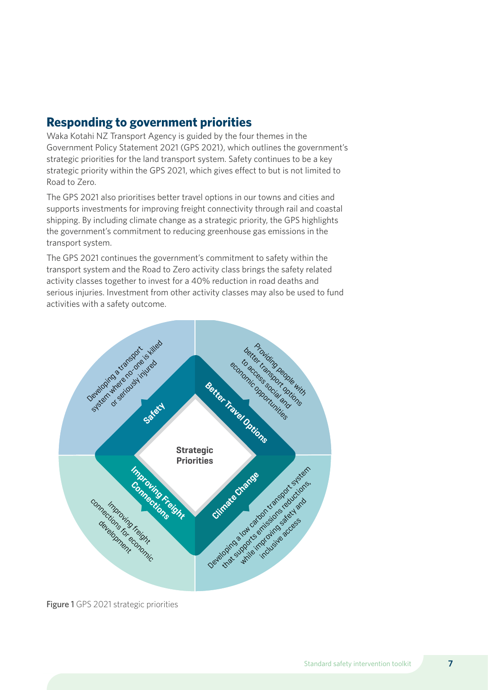### **Responding to government priorities**

Waka Kotahi NZ Transport Agency is guided by the four themes in the Government Policy Statement 2021 (GPS 2021), which outlines the government's strategic priorities for the land transport system. Safety continues to be a key strategic priority within the GPS 2021, which gives effect to but is not limited to Road to Zero.

The GPS 2021 also prioritises better travel options in our towns and cities and supports investments for improving freight connectivity through rail and coastal shipping. By including climate change as a strategic priority, the GPS highlights simpping. By including chritate change as a strategic priority, the GF3 nighigi<br>the government's commitment to reducing greenhouse gas emissions in the transport system. 6. Considering the 10 year context (2021/22-2030), the 10 year context (2021/22-2030  $\mu$ 

The GPS 2021 continues the government's commitment to safety within the transport system and the Road to Zero activity class brings the safety related transport system and the Road to Zero detivity elass brings the safety relationships the safety relationships the safety relationships our safety relationships the safety relationships and intervals and intervals and inter  $\frac{3}{2}$  serious injuries. Investment from other activity classes may also be used to fund activities with a safety outcome. Government has identified four strategic priorities for land



Figure 1 GPS 2021 strategic priorities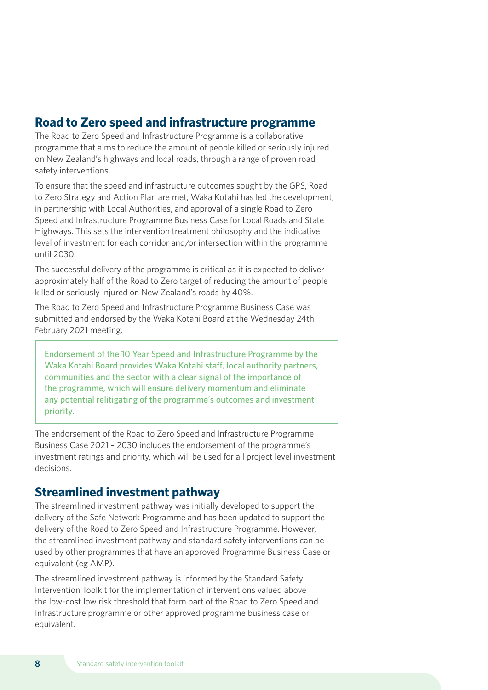### **Road to Zero speed and infrastructure programme**

The Road to Zero Speed and Infrastructure Programme is a collaborative programme that aims to reduce the amount of people killed or seriously injured on New Zealand's highways and local roads, through a range of proven road safety interventions.

To ensure that the speed and infrastructure outcomes sought by the GPS, Road to Zero Strategy and Action Plan are met, Waka Kotahi has led the development, in partnership with Local Authorities, and approval of a single Road to Zero Speed and Infrastructure Programme Business Case for Local Roads and State Highways. This sets the intervention treatment philosophy and the indicative level of investment for each corridor and/or intersection within the programme until 2030.

The successful delivery of the programme is critical as it is expected to deliver approximately half of the Road to Zero target of reducing the amount of people killed or seriously injured on New Zealand's roads by 40%.

The Road to Zero Speed and Infrastructure Programme Business Case was submitted and endorsed by the Waka Kotahi Board at the Wednesday 24th February 2021 meeting.

Endorsement of the 10 Year Speed and Infrastructure Programme by the Waka Kotahi Board provides Waka Kotahi staff, local authority partners, communities and the sector with a clear signal of the importance of the programme, which will ensure delivery momentum and eliminate any potential relitigating of the programme's outcomes and investment priority.

The endorsement of the Road to Zero Speed and Infrastructure Programme Business Case 2021 – 2030 includes the endorsement of the programme's investment ratings and priority, which will be used for all project level investment decisions.

#### **Streamlined investment pathway**

The streamlined investment pathway was initially developed to support the delivery of the Safe Network Programme and has been updated to support the delivery of the Road to Zero Speed and Infrastructure Programme. However, the streamlined investment pathway and standard safety interventions can be used by other programmes that have an approved Programme Business Case or equivalent (eg AMP).

The streamlined investment pathway is informed by the Standard Safety Intervention Toolkit for the implementation of interventions valued above the low-cost low risk threshold that form part of the Road to Zero Speed and Infrastructure programme or other approved programme business case or equivalent.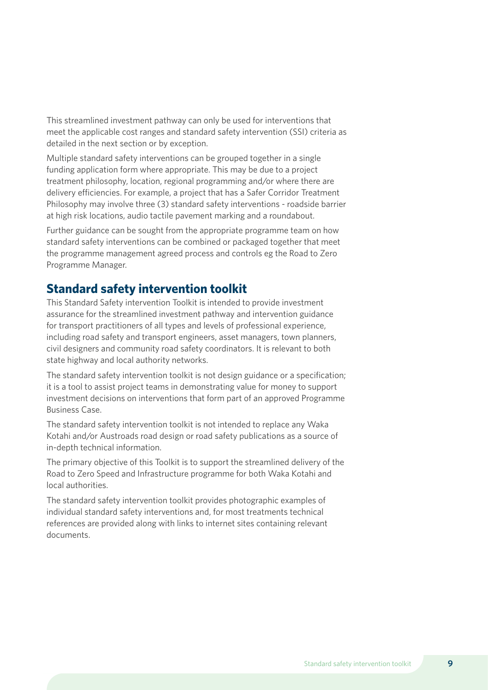This streamlined investment pathway can only be used for interventions that meet the applicable cost ranges and standard safety intervention (SSI) criteria as detailed in the next section or by exception.

Multiple standard safety interventions can be grouped together in a single funding application form where appropriate. This may be due to a project treatment philosophy, location, regional programming and/or where there are delivery efficiencies. For example, a project that has a Safer Corridor Treatment Philosophy may involve three (3) standard safety interventions - roadside barrier at high risk locations, audio tactile pavement marking and a roundabout.

Further guidance can be sought from the appropriate programme team on how standard safety interventions can be combined or packaged together that meet the programme management agreed process and controls eg the Road to Zero Programme Manager.

### **Standard safety intervention toolkit**

This Standard Safety intervention Toolkit is intended to provide investment assurance for the streamlined investment pathway and intervention guidance for transport practitioners of all types and levels of professional experience, including road safety and transport engineers, asset managers, town planners, civil designers and community road safety coordinators. It is relevant to both state highway and local authority networks.

The standard safety intervention toolkit is not design guidance or a specification; it is a tool to assist project teams in demonstrating value for money to support investment decisions on interventions that form part of an approved Programme Business Case.

The standard safety intervention toolkit is not intended to replace any Waka Kotahi and/or Austroads road design or road safety publications as a source of in-depth technical information.

The primary objective of this Toolkit is to support the streamlined delivery of the Road to Zero Speed and Infrastructure programme for both Waka Kotahi and local authorities.

The standard safety intervention toolkit provides photographic examples of individual standard safety interventions and, for most treatments technical references are provided along with links to internet sites containing relevant documents.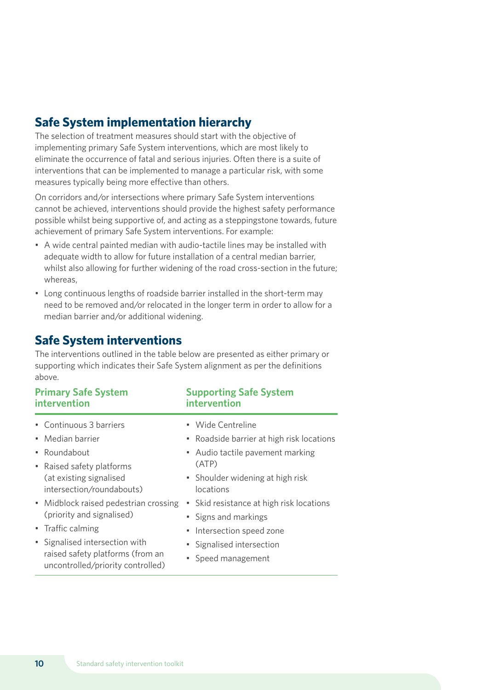### **Safe System implementation hierarchy**

The selection of treatment measures should start with the objective of implementing primary Safe System interventions, which are most likely to eliminate the occurrence of fatal and serious injuries. Often there is a suite of interventions that can be implemented to manage a particular risk, with some measures typically being more effective than others.

On corridors and/or intersections where primary Safe System interventions cannot be achieved, interventions should provide the highest safety performance possible whilst being supportive of, and acting as a steppingstone towards, future achievement of primary Safe System interventions. For example:

- A wide central painted median with audio-tactile lines may be installed with adequate width to allow for future installation of a central median barrier, whilst also allowing for further widening of the road cross-section in the future; whereas,
- Long continuous lengths of roadside barrier installed in the short-term may need to be removed and/or relocated in the longer term in order to allow for a median barrier and/or additional widening.

### **Safe System interventions**

The interventions outlined in the table below are presented as either primary or supporting which indicates their Safe System alignment as per the definitions above.

#### **Primary Safe System intervention**

- Continuous 3 barriers
- Median barrier
- Roundabout
- Raised safety platforms (at existing signalised intersection/roundabouts)
- Midblock raised pedestrian crossing Skid resistance at high risk locations (priority and signalised)
- Traffic calming
- Signalised intersection with raised safety platforms (from an uncontrolled/priority controlled)

#### **Supporting Safe System intervention**

- Wide Centreline
- Roadside barrier at high risk locations
- Audio tactile pavement marking (ATP)
- Shoulder widening at high risk locations
- 
- Signs and markings
- Intersection speed zone
- Signalised intersection
- Speed management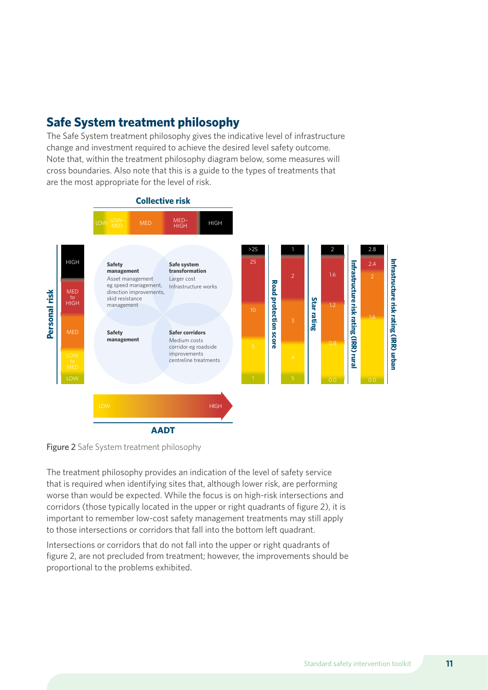### **Safe System treatment philosophy**

The Safe System treatment philosophy gives the indicative level of infrastructure change and investment required to achieve the desired level safety outcome. Note that, within the treatment philosophy diagram below, some measures will cross boundaries. Also note that this is a guide to the types of treatments that are the most appropriate for the level of risk.



**Collective risk**

Figure 2 Safe System treatment philosophy

The treatment philosophy provides an indication of the level of safety service that is required when identifying sites that, although lower risk, are performing worse than would be expected. While the focus is on high-risk intersections and corridors (those typically located in the upper or right quadrants of figure 2), it is important to remember low-cost safety management treatments may still apply to those intersections or corridors that fall into the bottom left quadrant.

Intersections or corridors that do not fall into the upper or right quadrants of figure 2, are not precluded from treatment; however, the improvements should be proportional to the problems exhibited.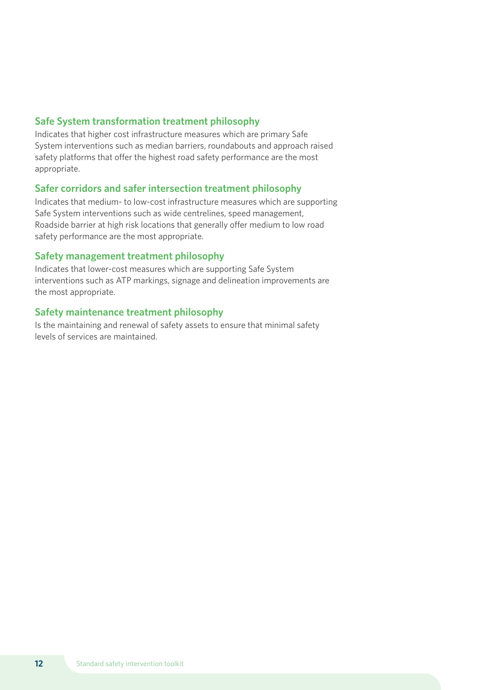#### **Safe System transformation treatment philosophy**

Indicates that higher cost infrastructure measures which are primary Safe System interventions such as median barriers, roundabouts and approach raised safety platforms that offer the highest road safety performance are the most appropriate.

#### **Safer corridors and safer intersection treatment philosophy**

Indicates that medium- to low-cost infrastructure measures which are supporting Safe System interventions such as wide centrelines, speed management, Roadside barrier at high risk locations that generally offer medium to low road safety performance are the most appropriate.

#### **Safety management treatment philosophy**

Indicates that lower-cost measures which are supporting Safe System interventions such as ATP markings, signage and delineation improvements are the most appropriate.

#### **Safety maintenance treatment philosophy**

Is the maintaining and renewal of safety assets to ensure that minimal safety levels of services are maintained.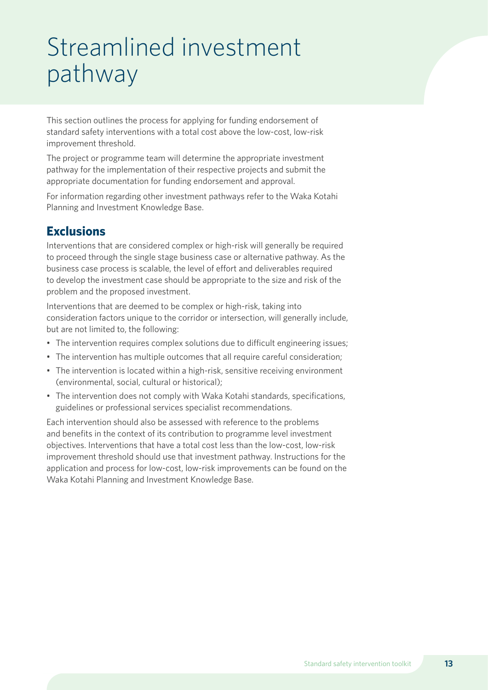## <span id="page-12-0"></span>Streamlined investment pathway

This section outlines the process for applying for funding endorsement of standard safety interventions with a total cost above the low-cost, low-risk improvement threshold.

The project or programme team will determine the appropriate investment pathway for the implementation of their respective projects and submit the appropriate documentation for funding endorsement and approval.

For information regarding other investment pathways refer to the Waka Kotahi Planning and Investment Knowledge Base.

### **Exclusions**

Interventions that are considered complex or high-risk will generally be required to proceed through the single stage business case or alternative pathway. As the business case process is scalable, the level of effort and deliverables required to develop the investment case should be appropriate to the size and risk of the problem and the proposed investment.

Interventions that are deemed to be complex or high-risk, taking into consideration factors unique to the corridor or intersection, will generally include, but are not limited to, the following:

- The intervention requires complex solutions due to difficult engineering issues;
- The intervention has multiple outcomes that all require careful consideration;
- The intervention is located within a high-risk, sensitive receiving environment (environmental, social, cultural or historical);
- The intervention does not comply with Waka Kotahi standards, specifications, guidelines or professional services specialist recommendations.

Each intervention should also be assessed with reference to the problems and benefits in the context of its contribution to programme level investment objectives. Interventions that have a total cost less than the low-cost, low-risk improvement threshold should use that investment pathway. Instructions for the application and process for low-cost, low-risk improvements can be found on the Waka Kotahi Planning and Investment Knowledge Base.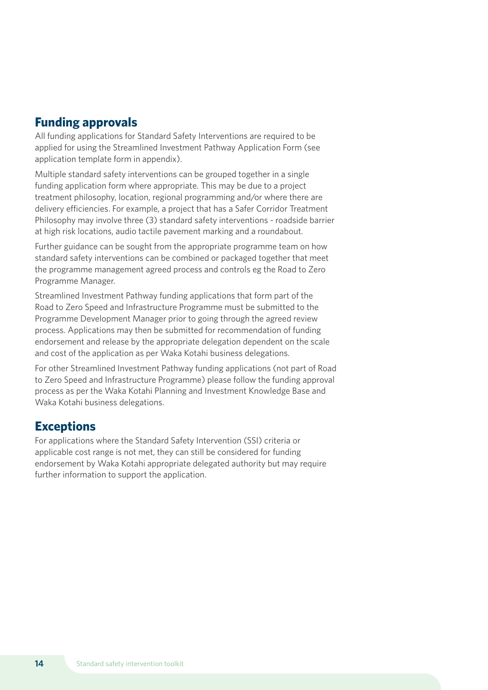### **Funding approvals**

All funding applications for Standard Safety Interventions are required to be applied for using the Streamlined Investment Pathway Application Form (see application template form in appendix).

Multiple standard safety interventions can be grouped together in a single funding application form where appropriate. This may be due to a project treatment philosophy, location, regional programming and/or where there are delivery efficiencies. For example, a project that has a Safer Corridor Treatment Philosophy may involve three (3) standard safety interventions - roadside barrier at high risk locations, audio tactile pavement marking and a roundabout.

Further guidance can be sought from the appropriate programme team on how standard safety interventions can be combined or packaged together that meet the programme management agreed process and controls eg the Road to Zero Programme Manager.

Streamlined Investment Pathway funding applications that form part of the Road to Zero Speed and Infrastructure Programme must be submitted to the Programme Development Manager prior to going through the agreed review process. Applications may then be submitted for recommendation of funding endorsement and release by the appropriate delegation dependent on the scale and cost of the application as per Waka Kotahi business delegations.

For other Streamlined Investment Pathway funding applications (not part of Road to Zero Speed and Infrastructure Programme) please follow the funding approval process as per the Waka Kotahi Planning and Investment Knowledge Base and Waka Kotahi business delegations.

### **Exceptions**

For applications where the Standard Safety Intervention (SSI) criteria or applicable cost range is not met, they can still be considered for funding endorsement by Waka Kotahi appropriate delegated authority but may require further information to support the application.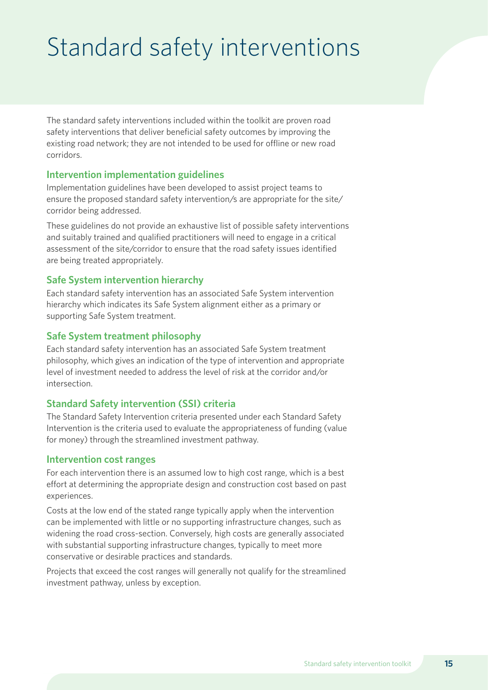# <span id="page-14-0"></span>Standard safety interventions

The standard safety interventions included within the toolkit are proven road safety interventions that deliver beneficial safety outcomes by improving the existing road network; they are not intended to be used for offline or new road corridors.

#### **Intervention implementation guidelines**

Implementation guidelines have been developed to assist project teams to ensure the proposed standard safety intervention/s are appropriate for the site/ corridor being addressed.

These guidelines do not provide an exhaustive list of possible safety interventions and suitably trained and qualified practitioners will need to engage in a critical assessment of the site/corridor to ensure that the road safety issues identified are being treated appropriately.

#### **Safe System intervention hierarchy**

Each standard safety intervention has an associated Safe System intervention hierarchy which indicates its Safe System alignment either as a primary or supporting Safe System treatment.

#### **Safe System treatment philosophy**

Each standard safety intervention has an associated Safe System treatment philosophy, which gives an indication of the type of intervention and appropriate level of investment needed to address the level of risk at the corridor and/or intersection.

#### **Standard Safety intervention (SSI) criteria**

The Standard Safety Intervention criteria presented under each Standard Safety Intervention is the criteria used to evaluate the appropriateness of funding (value for money) through the streamlined investment pathway.

#### **Intervention cost ranges**

For each intervention there is an assumed low to high cost range, which is a best effort at determining the appropriate design and construction cost based on past experiences.

Costs at the low end of the stated range typically apply when the intervention can be implemented with little or no supporting infrastructure changes, such as widening the road cross-section. Conversely, high costs are generally associated with substantial supporting infrastructure changes, typically to meet more conservative or desirable practices and standards.

Projects that exceed the cost ranges will generally not qualify for the streamlined investment pathway, unless by exception.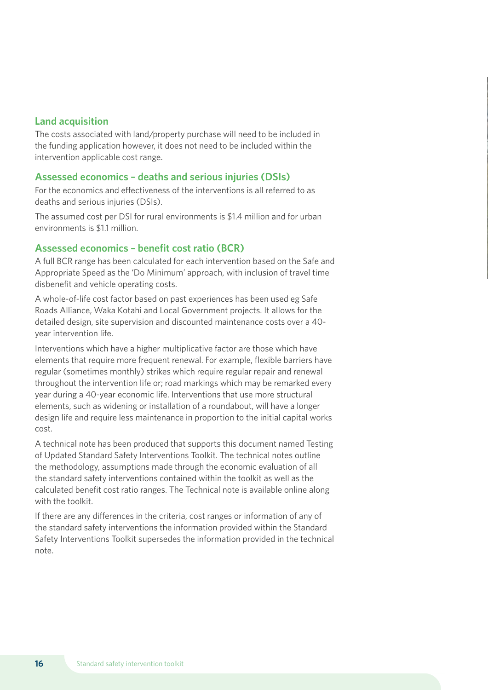#### **Land acquisition**

The costs associated with land/property purchase will need to be included in the funding application however, it does not need to be included within the intervention applicable cost range.

#### **Assessed economics – deaths and serious injuries (DSIs)**

For the economics and effectiveness of the interventions is all referred to as deaths and serious injuries (DSIs).

The assumed cost per DSI for rural environments is \$1.4 million and for urban environments is \$1.1 million.

#### **Assessed economics – benefit cost ratio (BCR)**

A full BCR range has been calculated for each intervention based on the Safe and Appropriate Speed as the 'Do Minimum' approach, with inclusion of travel time disbenefit and vehicle operating costs.

A whole-of-life cost factor based on past experiences has been used eg Safe Roads Alliance, Waka Kotahi and Local Government projects. It allows for the detailed design, site supervision and discounted maintenance costs over a 40 year intervention life.

Interventions which have a higher multiplicative factor are those which have elements that require more frequent renewal. For example, flexible barriers have regular (sometimes monthly) strikes which require regular repair and renewal throughout the intervention life or; road markings which may be remarked every year during a 40-year economic life. Interventions that use more structural elements, such as widening or installation of a roundabout, will have a longer design life and require less maintenance in proportion to the initial capital works cost.

A technical note has been produced that supports this document named Testing of Updated Standard Safety Interventions Toolkit. The technical notes outline the methodology, assumptions made through the economic evaluation of all the standard safety interventions contained within the toolkit as well as the calculated benefit cost ratio ranges. The Technical note is available online along with the toolkit.

If there are any differences in the criteria, cost ranges or information of any of the standard safety interventions the information provided within the Standard Safety Interventions Toolkit supersedes the information provided in the technical note.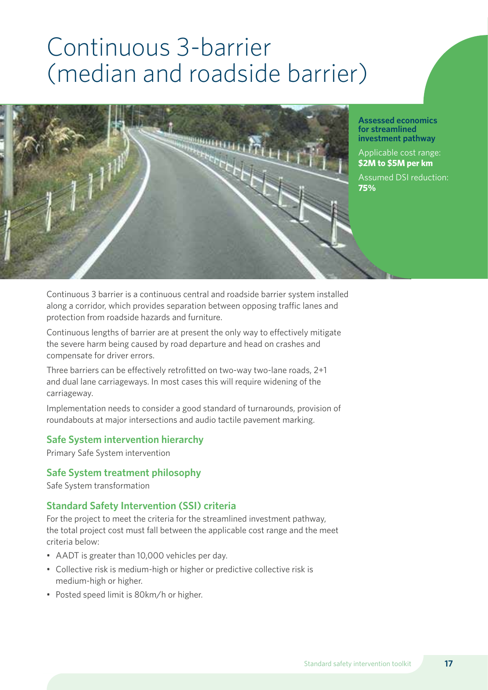## <span id="page-16-0"></span>Continuous 3-barrier (median and roadside barrier)



**Assessed economics for streamlined investment pathway**

Applicable cost range: **\$2M to \$5M per km**

Assumed DSI reduction: **75%**

Continuous 3 barrier is a continuous central and roadside barrier system installed along a corridor, which provides separation between opposing traffic lanes and protection from roadside hazards and furniture.

Continuous lengths of barrier are at present the only way to effectively mitigate the severe harm being caused by road departure and head on crashes and compensate for driver errors.

Three barriers can be effectively retrofitted on two-way two-lane roads, 2+1 and dual lane carriageways. In most cases this will require widening of the carriageway.

Implementation needs to consider a good standard of turnarounds, provision of roundabouts at major intersections and audio tactile pavement marking.

#### **Safe System intervention hierarchy**

Primary Safe System intervention

#### **Safe System treatment philosophy**

Safe System transformation

#### **Standard Safety Intervention (SSI) criteria**

For the project to meet the criteria for the streamlined investment pathway, the total project cost must fall between the applicable cost range and the meet criteria below:

- AADT is greater than 10,000 vehicles per day.
- Collective risk is medium-high or higher or predictive collective risk is medium-high or higher.
- Posted speed limit is 80km/h or higher.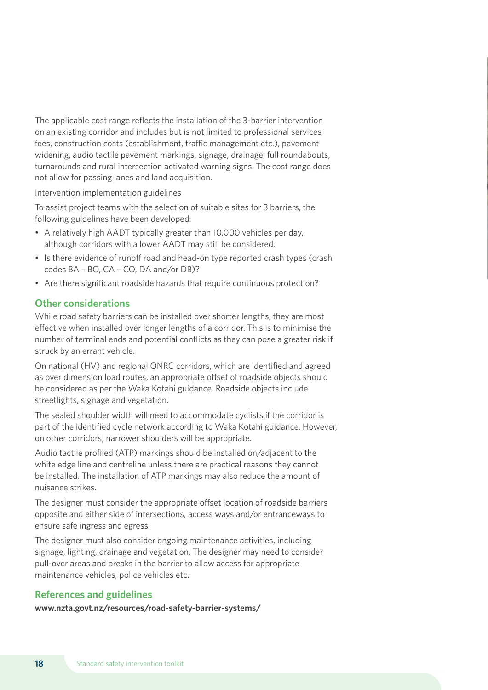The applicable cost range reflects the installation of the 3-barrier intervention on an existing corridor and includes but is not limited to professional services fees, construction costs (establishment, traffic management etc.), pavement widening, audio tactile pavement markings, signage, drainage, full roundabouts, turnarounds and rural intersection activated warning signs. The cost range does not allow for passing lanes and land acquisition.

Intervention implementation guidelines

To assist project teams with the selection of suitable sites for 3 barriers, the following guidelines have been developed:

- A relatively high AADT typically greater than 10,000 vehicles per day, although corridors with a lower AADT may still be considered.
- Is there evidence of runoff road and head-on type reported crash types (crash codes BA – BO, CA – CO, DA and/or DB)?
- Are there significant roadside hazards that require continuous protection?

#### **Other considerations**

While road safety barriers can be installed over shorter lengths, they are most effective when installed over longer lengths of a corridor. This is to minimise the number of terminal ends and potential conflicts as they can pose a greater risk if struck by an errant vehicle.

On national (HV) and regional ONRC corridors, which are identified and agreed as over dimension load routes, an appropriate offset of roadside objects should be considered as per the Waka Kotahi guidance. Roadside objects include streetlights, signage and vegetation.

The sealed shoulder width will need to accommodate cyclists if the corridor is part of the identified cycle network according to Waka Kotahi guidance. However, on other corridors, narrower shoulders will be appropriate.

Audio tactile profiled (ATP) markings should be installed on/adjacent to the white edge line and centreline unless there are practical reasons they cannot be installed. The installation of ATP markings may also reduce the amount of nuisance strikes.

The designer must consider the appropriate offset location of roadside barriers opposite and either side of intersections, access ways and/or entranceways to ensure safe ingress and egress.

The designer must also consider ongoing maintenance activities, including signage, lighting, drainage and vegetation. The designer may need to consider pull-over areas and breaks in the barrier to allow access for appropriate maintenance vehicles, police vehicles etc.

#### **References and guidelines**

**[www.nzta.govt.nz/resources/road-safety-barrier-systems/](http://www.nzta.govt.nz/resources/road-safety-barrier-systems/)**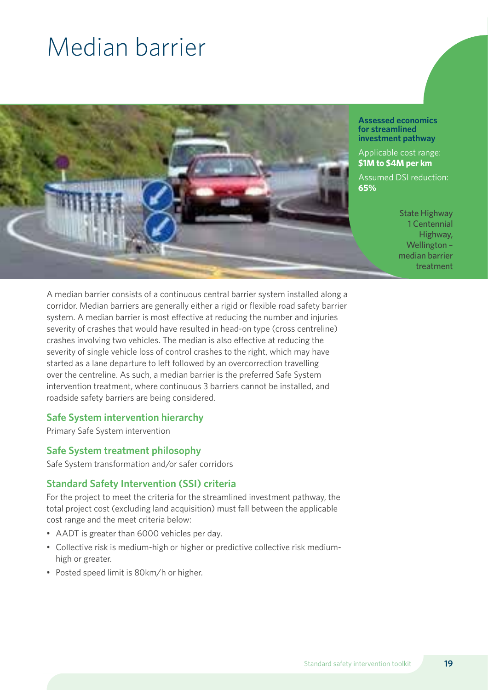## <span id="page-18-0"></span>Median barrier



**Assessed economics for streamlined investment pathway**

Applicable cost range: **\$1M to \$4M per km**

Assumed DSI reduction: **65%**

> State Highway 1 Centennial Highway, Wellington – median barrier treatment

A median barrier consists of a continuous central barrier system installed along a corridor. Median barriers are generally either a rigid or flexible road safety barrier system. A median barrier is most effective at reducing the number and injuries severity of crashes that would have resulted in head-on type (cross centreline) crashes involving two vehicles. The median is also effective at reducing the severity of single vehicle loss of control crashes to the right, which may have started as a lane departure to left followed by an overcorrection travelling over the centreline. As such, a median barrier is the preferred Safe System intervention treatment, where continuous 3 barriers cannot be installed, and roadside safety barriers are being considered.

#### **Safe System intervention hierarchy**

Primary Safe System intervention

#### **Safe System treatment philosophy**

Safe System transformation and/or safer corridors

#### **Standard Safety Intervention (SSI) criteria**

For the project to meet the criteria for the streamlined investment pathway, the total project cost (excluding land acquisition) must fall between the applicable cost range and the meet criteria below:

- AADT is greater than 6000 vehicles per day.
- Collective risk is medium-high or higher or predictive collective risk mediumhigh or greater.
- Posted speed limit is 80km/h or higher.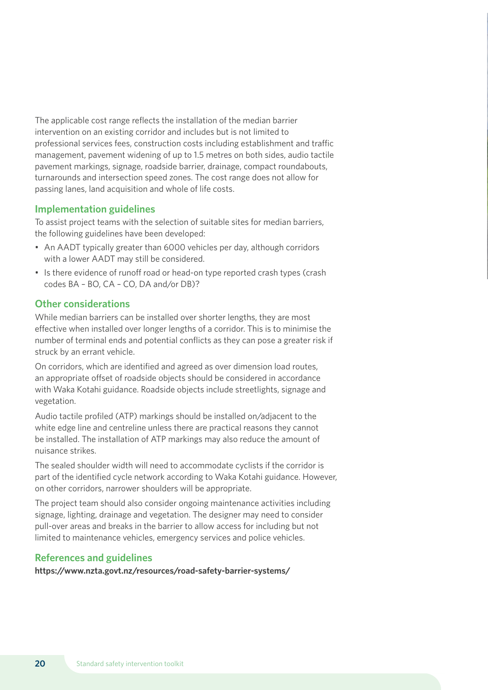The applicable cost range reflects the installation of the median barrier intervention on an existing corridor and includes but is not limited to professional services fees, construction costs including establishment and traffic management, pavement widening of up to 1.5 metres on both sides, audio tactile pavement markings, signage, roadside barrier, drainage, compact roundabouts, turnarounds and intersection speed zones. The cost range does not allow for passing lanes, land acquisition and whole of life costs.

#### **Implementation guidelines**

To assist project teams with the selection of suitable sites for median barriers, the following guidelines have been developed:

- An AADT typically greater than 6000 vehicles per day, although corridors with a lower AADT may still be considered.
- Is there evidence of runoff road or head-on type reported crash types (crash codes BA – BO, CA – CO, DA and/or DB)?

#### **Other considerations**

While median barriers can be installed over shorter lengths, they are most effective when installed over longer lengths of a corridor. This is to minimise the number of terminal ends and potential conflicts as they can pose a greater risk if struck by an errant vehicle.

On corridors, which are identified and agreed as over dimension load routes, an appropriate offset of roadside objects should be considered in accordance with Waka Kotahi guidance. Roadside objects include streetlights, signage and vegetation.

Audio tactile profiled (ATP) markings should be installed on/adjacent to the white edge line and centreline unless there are practical reasons they cannot be installed. The installation of ATP markings may also reduce the amount of nuisance strikes.

The sealed shoulder width will need to accommodate cyclists if the corridor is part of the identified cycle network according to Waka Kotahi guidance. However, on other corridors, narrower shoulders will be appropriate.

The project team should also consider ongoing maintenance activities including signage, lighting, drainage and vegetation. The designer may need to consider pull-over areas and breaks in the barrier to allow access for including but not limited to maintenance vehicles, emergency services and police vehicles.

#### **References and guidelines**

**[https://www.nzta.govt.nz/resources/road-safety-barrier-systems/](https://www.nzta.govt.nz/resources/road-safety-barrier-systems/ )**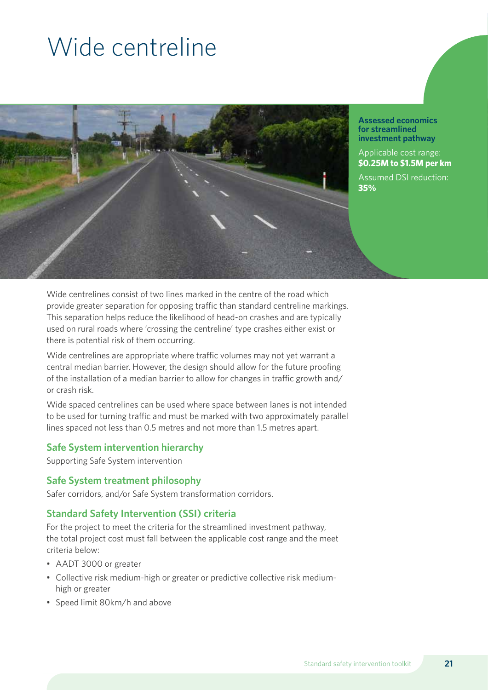## <span id="page-20-0"></span>Wide centreline



**Assessed economics for streamlined investment pathway**

Applicable cost range: **\$0.25M to \$1.5M per km**  Assumed DSI reduction:

**35%**

Wide centrelines consist of two lines marked in the centre of the road which provide greater separation for opposing traffic than standard centreline markings. This separation helps reduce the likelihood of head-on crashes and are typically used on rural roads where 'crossing the centreline' type crashes either exist or there is potential risk of them occurring.

Wide centrelines are appropriate where traffic volumes may not yet warrant a central median barrier. However, the design should allow for the future proofing of the installation of a median barrier to allow for changes in traffic growth and/ or crash risk.

Wide spaced centrelines can be used where space between lanes is not intended to be used for turning traffic and must be marked with two approximately parallel lines spaced not less than 0.5 metres and not more than 1.5 metres apart.

#### **Safe System intervention hierarchy**

Supporting Safe System intervention

#### **Safe System treatment philosophy**

Safer corridors, and/or Safe System transformation corridors.

#### **Standard Safety Intervention (SSI) criteria**

For the project to meet the criteria for the streamlined investment pathway, the total project cost must fall between the applicable cost range and the meet criteria below:

- AADT 3000 or greater
- Collective risk medium-high or greater or predictive collective risk mediumhigh or greater
- Speed limit 80km/h and above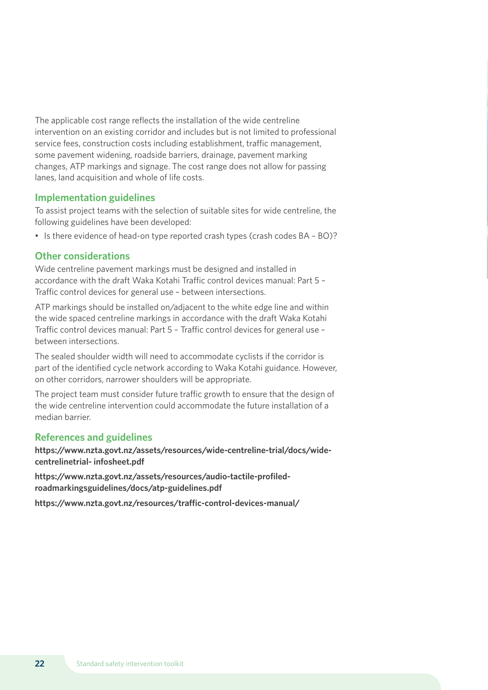The applicable cost range reflects the installation of the wide centreline intervention on an existing corridor and includes but is not limited to professional service fees, construction costs including establishment, traffic management, some pavement widening, roadside barriers, drainage, pavement marking changes, ATP markings and signage. The cost range does not allow for passing lanes, land acquisition and whole of life costs.

#### **Implementation guidelines**

To assist project teams with the selection of suitable sites for wide centreline, the following guidelines have been developed:

• Is there evidence of head-on type reported crash types (crash codes BA – BO)?

#### **Other considerations**

Wide centreline pavement markings must be designed and installed in accordance with the draft Waka Kotahi Traffic control devices manual: Part 5 – Traffic control devices for general use – between intersections.

ATP markings should be installed on/adjacent to the white edge line and within the wide spaced centreline markings in accordance with the draft Waka Kotahi Traffic control devices manual: Part 5 – Traffic control devices for general use – between intersections.

The sealed shoulder width will need to accommodate cyclists if the corridor is part of the identified cycle network according to Waka Kotahi guidance. However, on other corridors, narrower shoulders will be appropriate.

The project team must consider future traffic growth to ensure that the design of the wide centreline intervention could accommodate the future installation of a median barrier.

#### **References and guidelines**

**[https://www.nzta.govt.nz/assets/resources/wide-centreline-trial/docs/wide](https://www.nzta.govt.nz/assets/resources/wide-centreline-trial/docs/wide-centrelinetrial- infosheet)[centrelinetrial- infosheet.pdf](https://www.nzta.govt.nz/assets/resources/wide-centreline-trial/docs/wide-centrelinetrial- infosheet)**

**[https://www.nzta.govt.nz/assets/resources/audio-tactile-profiled](https://www.nzta.govt.nz/assets/resources/audio-tactile-profiled-roadmarkingsguidelines/docs/atp-gui)[roadmarkingsguidelines/docs/atp-guidelines.pdf](https://www.nzta.govt.nz/assets/resources/audio-tactile-profiled-roadmarkingsguidelines/docs/atp-gui)**

**[https://www.nzta.govt.nz/resources/traffic-control-devices-manual/](https://www.nzta.govt.nz/resources/traffic-control-devices-manual/ )**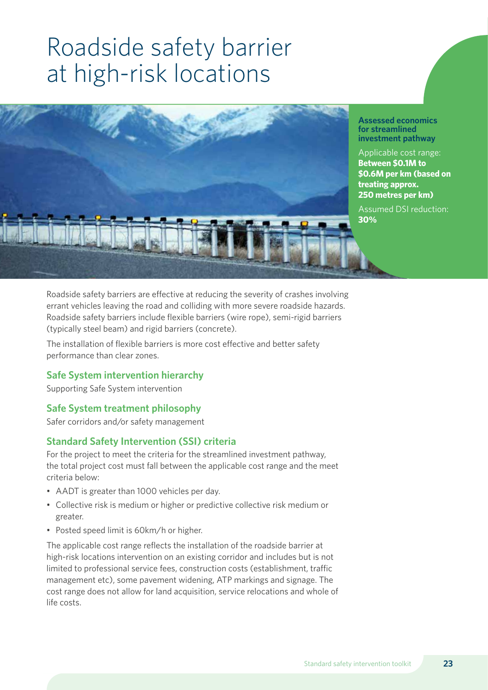## <span id="page-22-0"></span>Roadside safety barrier at high-risk locations



**Assessed economics for streamlined investment pathway**

Applicable cost range: **Between \$0.1M to \$0.6M per km (based on treating approx. 250 metres per km)** 

Assumed DSI reduction: **30%**

Roadside safety barriers are effective at reducing the severity of crashes involving errant vehicles leaving the road and colliding with more severe roadside hazards. Roadside safety barriers include flexible barriers (wire rope), semi-rigid barriers (typically steel beam) and rigid barriers (concrete).

The installation of flexible barriers is more cost effective and better safety performance than clear zones.

#### **Safe System intervention hierarchy**

Supporting Safe System intervention

#### **Safe System treatment philosophy**

Safer corridors and/or safety management

#### **Standard Safety Intervention (SSI) criteria**

For the project to meet the criteria for the streamlined investment pathway, the total project cost must fall between the applicable cost range and the meet criteria below:

- AADT is greater than 1000 vehicles per day.
- Collective risk is medium or higher or predictive collective risk medium or greater.
- Posted speed limit is 60km/h or higher.

The applicable cost range reflects the installation of the roadside barrier at high-risk locations intervention on an existing corridor and includes but is not limited to professional service fees, construction costs (establishment, traffic management etc), some pavement widening, ATP markings and signage. The cost range does not allow for land acquisition, service relocations and whole of life costs.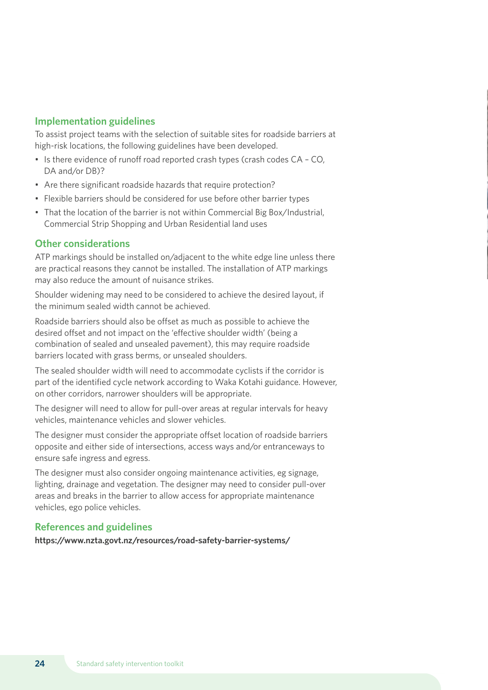#### **Implementation guidelines**

To assist project teams with the selection of suitable sites for roadside barriers at high-risk locations, the following guidelines have been developed.

- Is there evidence of runoff road reported crash types (crash codes CA CO, DA and/or DB)?
- Are there significant roadside hazards that require protection?
- Flexible barriers should be considered for use before other barrier types
- That the location of the barrier is not within Commercial Big Box/Industrial, Commercial Strip Shopping and Urban Residential land uses

#### **Other considerations**

ATP markings should be installed on/adjacent to the white edge line unless there are practical reasons they cannot be installed. The installation of ATP markings may also reduce the amount of nuisance strikes.

Shoulder widening may need to be considered to achieve the desired layout, if the minimum sealed width cannot be achieved.

Roadside barriers should also be offset as much as possible to achieve the desired offset and not impact on the 'effective shoulder width' (being a combination of sealed and unsealed pavement), this may require roadside barriers located with grass berms, or unsealed shoulders.

The sealed shoulder width will need to accommodate cyclists if the corridor is part of the identified cycle network according to Waka Kotahi guidance. However, on other corridors, narrower shoulders will be appropriate.

The designer will need to allow for pull-over areas at regular intervals for heavy vehicles, maintenance vehicles and slower vehicles.

The designer must consider the appropriate offset location of roadside barriers opposite and either side of intersections, access ways and/or entranceways to ensure safe ingress and egress.

The designer must also consider ongoing maintenance activities, eg signage, lighting, drainage and vegetation. The designer may need to consider pull-over areas and breaks in the barrier to allow access for appropriate maintenance vehicles, ego police vehicles.

#### **References and guidelines**

**[https://www.nzta.govt.nz/resources/road-safety-barrier-systems/](https://www.nzta.govt.nz/resources/road-safety-barrier-systems/ )**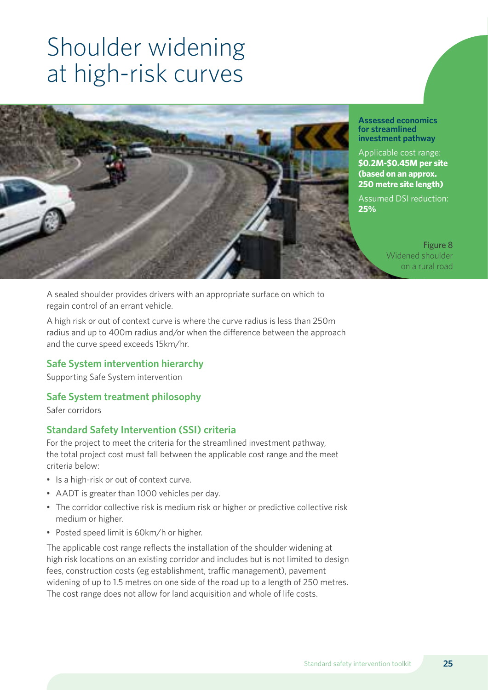## <span id="page-24-0"></span>Shoulder widening at high-risk curves



**Assessed economics for streamlined investment pathway**

Applicable cost range: **\$0.2M-\$0.45M per site (based on an approx. 250 metre site length)** 

Assumed DSI reduction: **25%**

> Figure 8 Widened shoulder on a rural road

A sealed shoulder provides drivers with an appropriate surface on which to regain control of an errant vehicle.

A high risk or out of context curve is where the curve radius is less than 250m radius and up to 400m radius and/or when the difference between the approach and the curve speed exceeds 15km/hr.

#### **Safe System intervention hierarchy**

Supporting Safe System intervention

#### **Safe System treatment philosophy**

Safer corridors

#### **Standard Safety Intervention (SSI) criteria**

For the project to meet the criteria for the streamlined investment pathway, the total project cost must fall between the applicable cost range and the meet criteria below:

- Is a high-risk or out of context curve.
- AADT is greater than 1000 vehicles per day.
- The corridor collective risk is medium risk or higher or predictive collective risk medium or higher.
- Posted speed limit is 60km/h or higher.

The applicable cost range reflects the installation of the shoulder widening at high risk locations on an existing corridor and includes but is not limited to design fees, construction costs (eg establishment, traffic management), pavement widening of up to 1.5 metres on one side of the road up to a length of 250 metres. The cost range does not allow for land acquisition and whole of life costs.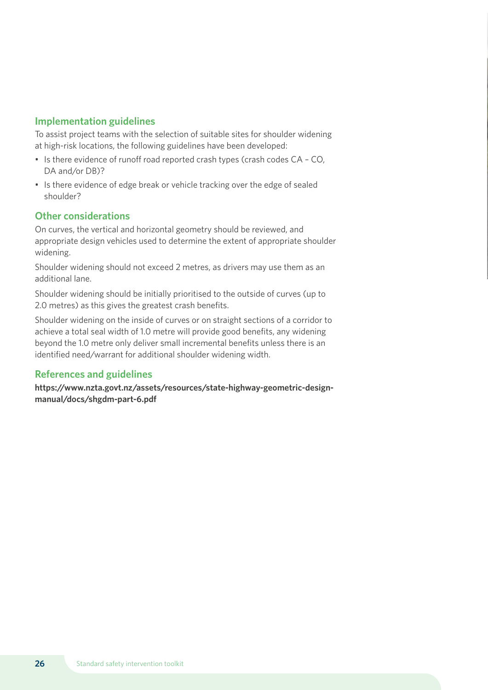#### **Implementation guidelines**

To assist project teams with the selection of suitable sites for shoulder widening at high-risk locations, the following guidelines have been developed:

- Is there evidence of runoff road reported crash types (crash codes CA CO, DA and/or DB)?
- Is there evidence of edge break or vehicle tracking over the edge of sealed shoulder?

#### **Other considerations**

On curves, the vertical and horizontal geometry should be reviewed, and appropriate design vehicles used to determine the extent of appropriate shoulder widening.

Shoulder widening should not exceed 2 metres, as drivers may use them as an additional lane.

Shoulder widening should be initially prioritised to the outside of curves (up to 2.0 metres) as this gives the greatest crash benefits.

Shoulder widening on the inside of curves or on straight sections of a corridor to achieve a total seal width of 1.0 metre will provide good benefits, any widening beyond the 1.0 metre only deliver small incremental benefits unless there is an identified need/warrant for additional shoulder widening width.

#### **References and guidelines**

**[https://www.nzta.govt.nz/assets/resources/state-highway-geometric-design](https://www.nzta.govt.nz/assets/resources/state-highway-geometric-design-manual/docs/shgdm-part-6.pd)[manual/docs/shgdm-part-6.pdf](https://www.nzta.govt.nz/assets/resources/state-highway-geometric-design-manual/docs/shgdm-part-6.pd)**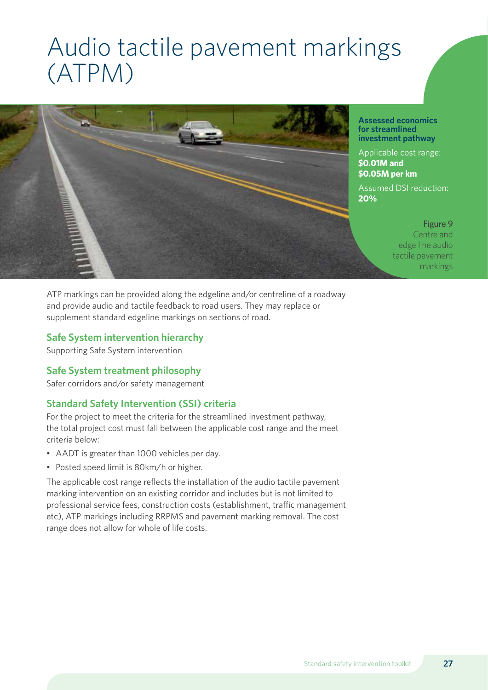### <span id="page-26-0"></span>Audio tactile pavement markings (ATPM)



**Assessed economics for streamlined investment pathway**

Applicable cost range: **\$0.01M and \$0.05M per km** 

Assumed DSI reduction: **20%**

> Figure 9 Centre and edge line audio tactile pavement markings

ATP markings can be provided along the edgeline and/or centreline of a roadway and provide audio and tactile feedback to road users. They may replace or supplement standard edgeline markings on sections of road.

#### **Safe System intervention hierarchy**

Supporting Safe System intervention

#### **Safe System treatment philosophy**

Safer corridors and/or safety management

#### **Standard Safety Intervention (SSI) criteria**

For the project to meet the criteria for the streamlined investment pathway, the total project cost must fall between the applicable cost range and the meet criteria below:

- AADT is greater than 1000 vehicles per day.
- Posted speed limit is 80km/h or higher.

The applicable cost range reflects the installation of the audio tactile pavement marking intervention on an existing corridor and includes but is not limited to professional service fees, construction costs (establishment, traffic management etc), ATP markings including RRPMS and pavement marking removal. The cost range does not allow for whole of life costs.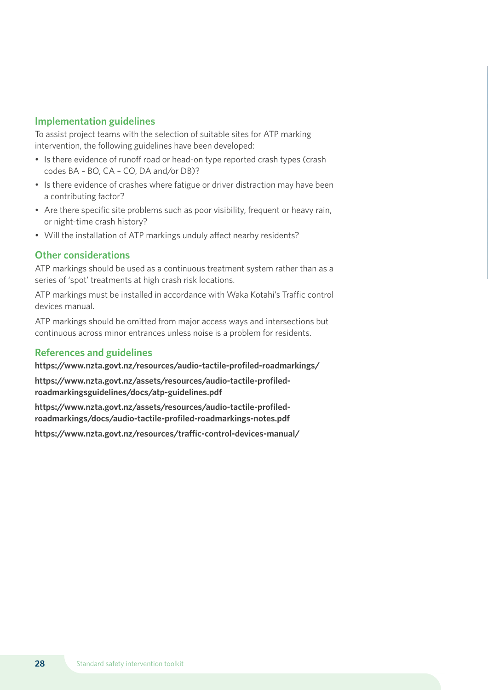#### **Implementation guidelines**

To assist project teams with the selection of suitable sites for ATP marking intervention, the following guidelines have been developed:

- Is there evidence of runoff road or head-on type reported crash types (crash codes BA – BO, CA – CO, DA and/or DB)?
- Is there evidence of crashes where fatigue or driver distraction may have been a contributing factor?
- Are there specific site problems such as poor visibility, frequent or heavy rain, or night-time crash history?
- Will the installation of ATP markings unduly affect nearby residents?

#### **Other considerations**

ATP markings should be used as a continuous treatment system rather than as a series of 'spot' treatments at high crash risk locations.

ATP markings must be installed in accordance with Waka Kotahi's Traffic control devices manual.

ATP markings should be omitted from major access ways and intersections but continuous across minor entrances unless noise is a problem for residents.

#### **References and guidelines**

**<https://www.nzta.govt.nz/resources/audio-tactile-profiled-roadmarkings/>**

**[https://www.nzta.govt.nz/assets/resources/audio-tactile-profiled](https://www.nzta.govt.nz/assets/resources/audio-tactile-profiled-roadmarkingsguidelines/docs/atp-gui)[roadmarkingsguidelines/docs/atp-guidelines.pdf](https://www.nzta.govt.nz/assets/resources/audio-tactile-profiled-roadmarkingsguidelines/docs/atp-gui)**

**[https://www.nzta.govt.nz/assets/resources/audio-tactile-profiled](https://www.nzta.govt.nz/assets/resources/audio-tactile-profiled-roadmarkings/docs/audio-tactile-pro)[roadmarkings/docs/audio-tactile-profiled-roadmarkings-notes.pdf](https://www.nzta.govt.nz/assets/resources/audio-tactile-profiled-roadmarkings/docs/audio-tactile-pro)**

**[https://www.nzta.govt.nz/resources/traffic-control-devices-manual/](https://www.nzta.govt.nz/resources/traffic-control-devices-manual/ )**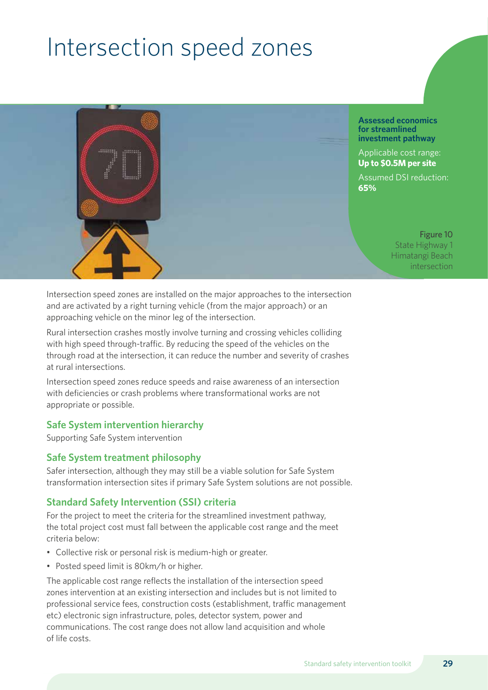## <span id="page-28-0"></span>Intersection speed zones



Intersection speed zones are installed on the major approaches to the intersection and are activated by a right turning vehicle (from the major approach) or an approaching vehicle on the minor leg of the intersection.

Rural intersection crashes mostly involve turning and crossing vehicles colliding with high speed through-traffic. By reducing the speed of the vehicles on the through road at the intersection, it can reduce the number and severity of crashes at rural intersections.

Intersection speed zones reduce speeds and raise awareness of an intersection with deficiencies or crash problems where transformational works are not appropriate or possible.

#### **Safe System intervention hierarchy**

Supporting Safe System intervention

#### **Safe System treatment philosophy**

Safer intersection, although they may still be a viable solution for Safe System transformation intersection sites if primary Safe System solutions are not possible.

#### **Standard Safety Intervention (SSI) criteria**

For the project to meet the criteria for the streamlined investment pathway, the total project cost must fall between the applicable cost range and the meet criteria below:

- Collective risk or personal risk is medium-high or greater.
- Posted speed limit is 80km/h or higher.

The applicable cost range reflects the installation of the intersection speed zones intervention at an existing intersection and includes but is not limited to professional service fees, construction costs (establishment, traffic management etc) electronic sign infrastructure, poles, detector system, power and communications. The cost range does not allow land acquisition and whole of life costs.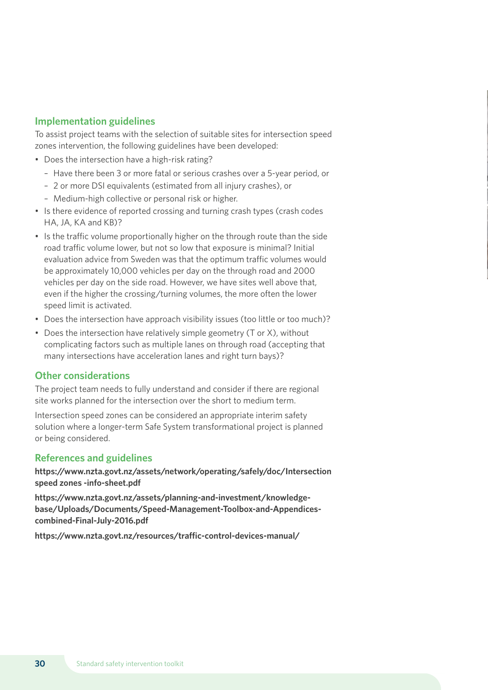#### **Implementation guidelines**

To assist project teams with the selection of suitable sites for intersection speed zones intervention, the following guidelines have been developed:

- Does the intersection have a high-risk rating?
	- Have there been 3 or more fatal or serious crashes over a 5-year period, or
	- 2 or more DSI equivalents (estimated from all injury crashes), or
	- Medium-high collective or personal risk or higher.
- Is there evidence of reported crossing and turning crash types (crash codes HA, JA, KA and KB)?
- Is the traffic volume proportionally higher on the through route than the side road traffic volume lower, but not so low that exposure is minimal? Initial evaluation advice from Sweden was that the optimum traffic volumes would be approximately 10,000 vehicles per day on the through road and 2000 vehicles per day on the side road. However, we have sites well above that, even if the higher the crossing/turning volumes, the more often the lower speed limit is activated.
- Does the intersection have approach visibility issues (too little or too much)?
- Does the intersection have relatively simple geometry (T or X), without complicating factors such as multiple lanes on through road (accepting that many intersections have acceleration lanes and right turn bays)?

#### **Other considerations**

The project team needs to fully understand and consider if there are regional site works planned for the intersection over the short to medium term.

Intersection speed zones can be considered an appropriate interim safety solution where a longer-term Safe System transformational project is planned or being considered.

#### **References and guidelines**

**[https://www.nzta.govt.nz/assets/network/operating/safely/doc/Intersection](https://www.nzta.govt.nz/assets/network/operating/safely/doc/Intersection speed zones -info-sheet.pd)  [speed zones -info-sheet.pdf](https://www.nzta.govt.nz/assets/network/operating/safely/doc/Intersection speed zones -info-sheet.pd)** 

**[https://www.nzta.govt.nz/assets/planning-and-investment/knowledge](https://www.nzta.govt.nz/assets/planning-and-investment/knowledge-base/Uploads/Documents/Speed-Manag)[base/Uploads/Documents/Speed-Management-Toolbox-and-Appendices](https://www.nzta.govt.nz/assets/planning-and-investment/knowledge-base/Uploads/Documents/Speed-Manag)[combined-Final-July-2016.pdf](https://www.nzta.govt.nz/assets/planning-and-investment/knowledge-base/Uploads/Documents/Speed-Manag)**

**[https://www.nzta.govt.nz/resources/traffic-control-devices-manual/](https://www.nzta.govt.nz/resources/traffic-control-devices-manual/ )**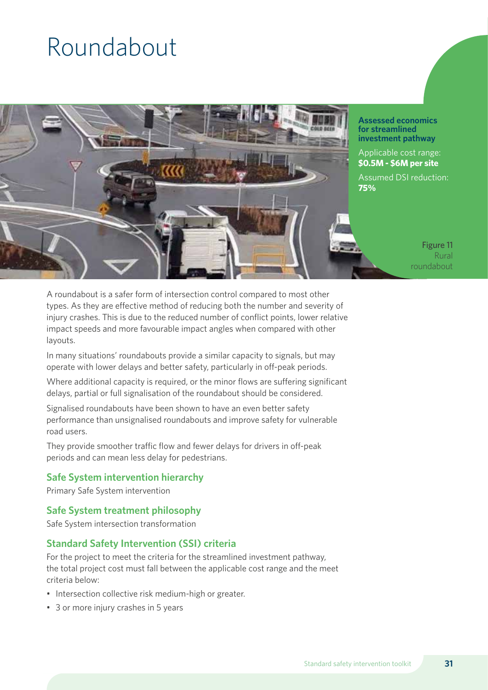### <span id="page-30-0"></span>Roundabout



**Assessed economics for streamlined investment pathway**

Applicable cost range: **\$0.5M - \$6M per site** 

Assumed DSI reduction: **75%**

> Figure 11 Rural roundabout

A roundabout is a safer form of intersection control compared to most other types. As they are effective method of reducing both the number and severity of injury crashes. This is due to the reduced number of conflict points, lower relative impact speeds and more favourable impact angles when compared with other layouts.

In many situations' roundabouts provide a similar capacity to signals, but may operate with lower delays and better safety, particularly in off-peak periods.

Where additional capacity is required, or the minor flows are suffering significant delays, partial or full signalisation of the roundabout should be considered.

Signalised roundabouts have been shown to have an even better safety performance than unsignalised roundabouts and improve safety for vulnerable road users.

They provide smoother traffic flow and fewer delays for drivers in off-peak periods and can mean less delay for pedestrians.

#### **Safe System intervention hierarchy**

Primary Safe System intervention

#### **Safe System treatment philosophy**

Safe System intersection transformation

#### **Standard Safety Intervention (SSI) criteria**

For the project to meet the criteria for the streamlined investment pathway, the total project cost must fall between the applicable cost range and the meet criteria below:

- Intersection collective risk medium-high or greater.
- 3 or more injury crashes in 5 years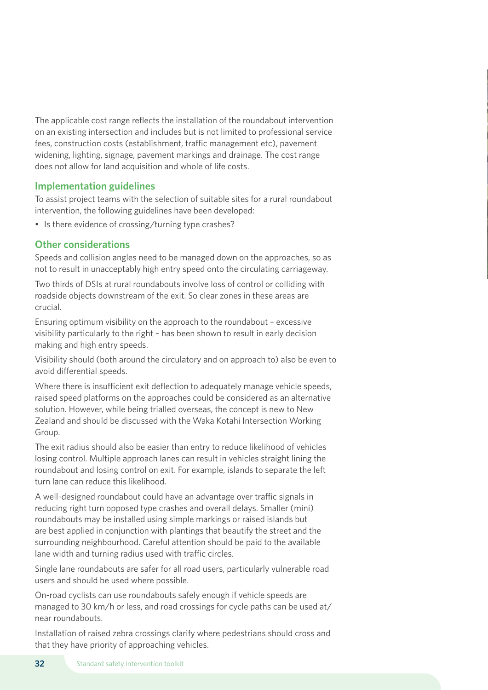The applicable cost range reflects the installation of the roundabout intervention on an existing intersection and includes but is not limited to professional service fees, construction costs (establishment, traffic management etc), pavement widening, lighting, signage, pavement markings and drainage. The cost range does not allow for land acquisition and whole of life costs.

#### **Implementation guidelines**

To assist project teams with the selection of suitable sites for a rural roundabout intervention, the following guidelines have been developed:

• Is there evidence of crossing/turning type crashes?

#### **Other considerations**

Speeds and collision angles need to be managed down on the approaches, so as not to result in unacceptably high entry speed onto the circulating carriageway.

Two thirds of DSIs at rural roundabouts involve loss of control or colliding with roadside objects downstream of the exit. So clear zones in these areas are crucial.

Ensuring optimum visibility on the approach to the roundabout – excessive visibility particularly to the right – has been shown to result in early decision making and high entry speeds.

Visibility should (both around the circulatory and on approach to) also be even to avoid differential speeds.

Where there is insufficient exit deflection to adequately manage vehicle speeds, raised speed platforms on the approaches could be considered as an alternative solution. However, while being trialled overseas, the concept is new to New Zealand and should be discussed with the Waka Kotahi Intersection Working Group.

The exit radius should also be easier than entry to reduce likelihood of vehicles losing control. Multiple approach lanes can result in vehicles straight lining the roundabout and losing control on exit. For example, islands to separate the left turn lane can reduce this likelihood.

A well-designed roundabout could have an advantage over traffic signals in reducing right turn opposed type crashes and overall delays. Smaller (mini) roundabouts may be installed using simple markings or raised islands but are best applied in conjunction with plantings that beautify the street and the surrounding neighbourhood. Careful attention should be paid to the available lane width and turning radius used with traffic circles.

Single lane roundabouts are safer for all road users, particularly vulnerable road users and should be used where possible.

On-road cyclists can use roundabouts safely enough if vehicle speeds are managed to 30 km/h or less, and road crossings for cycle paths can be used at/ near roundabouts.

Installation of raised zebra crossings clarify where pedestrians should cross and that they have priority of approaching vehicles.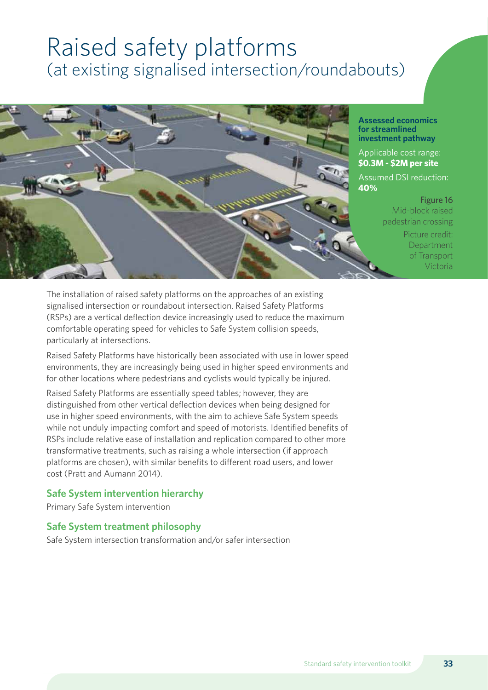### <span id="page-32-0"></span>Raised safety platforms (at existing signalised intersection/roundabouts)



**Assessed economics for streamlined investment pathway**

Applicable cost range: **\$0.3M - \$2M per site** 

Assumed DSI reduction: **40%**

> Figure 16 Mid-block raised pedestrian crossing

Picture credit: **Department** of Transport Victoria

The installation of raised safety platforms on the approaches of an existing signalised intersection or roundabout intersection. Raised Safety Platforms (RSPs) are a vertical deflection device increasingly used to reduce the maximum comfortable operating speed for vehicles to Safe System collision speeds, particularly at intersections.

Raised Safety Platforms have historically been associated with use in lower speed environments, they are increasingly being used in higher speed environments and for other locations where pedestrians and cyclists would typically be injured.

Raised Safety Platforms are essentially speed tables; however, they are distinguished from other vertical deflection devices when being designed for use in higher speed environments, with the aim to achieve Safe System speeds while not unduly impacting comfort and speed of motorists. Identified benefits of RSPs include relative ease of installation and replication compared to other more transformative treatments, such as raising a whole intersection (if approach platforms are chosen), with similar benefits to different road users, and lower cost (Pratt and Aumann 2014).

#### **Safe System intervention hierarchy**

Primary Safe System intervention

#### **Safe System treatment philosophy**

Safe System intersection transformation and/or safer intersection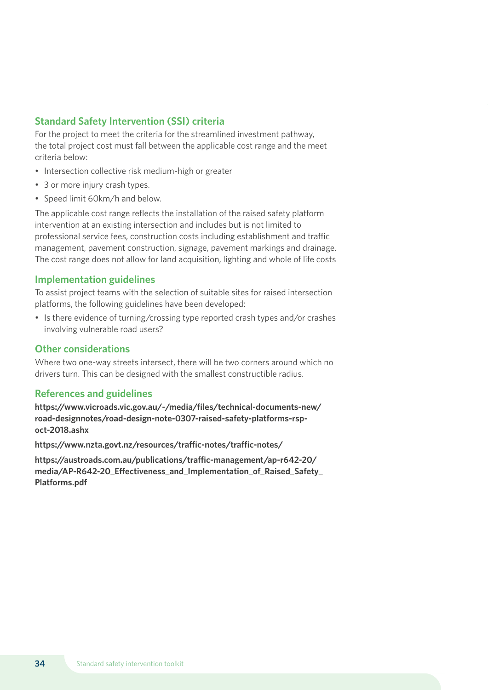#### **Standard Safety Intervention (SSI) criteria**

For the project to meet the criteria for the streamlined investment pathway, the total project cost must fall between the applicable cost range and the meet criteria below:

- Intersection collective risk medium-high or greater
- 3 or more injury crash types.
- Speed limit 60km/h and below.

The applicable cost range reflects the installation of the raised safety platform intervention at an existing intersection and includes but is not limited to professional service fees, construction costs including establishment and traffic management, pavement construction, signage, pavement markings and drainage. The cost range does not allow for land acquisition, lighting and whole of life costs

#### **Implementation guidelines**

To assist project teams with the selection of suitable sites for raised intersection platforms, the following guidelines have been developed:

• Is there evidence of turning/crossing type reported crash types and/or crashes involving vulnerable road users?

#### **Other considerations**

Where two one-way streets intersect, there will be two corners around which no drivers turn. This can be designed with the smallest constructible radius.

#### **References and guidelines**

**[https://www.vicroads.vic.gov.au/-/media/files/technical-documents-new/](https://www.vicroads.vic.gov.au/-/media/files/technical-documents-new/road-designnotes/road-design-n) [road-designnotes/road-design-note-0307-raised-safety-platforms-rsp](https://www.vicroads.vic.gov.au/-/media/files/technical-documents-new/road-designnotes/road-design-n)[oct-2018.ashx](https://www.vicroads.vic.gov.au/-/media/files/technical-documents-new/road-designnotes/road-design-n)**

**<https://www.nzta.govt.nz/resources/traffic-notes/traffic-notes/>**

**[https://austroads.com.au/publications/traffic-management/ap-r642-20/](https://austroads.com.au/publications/traffic-management/ap-r642-20/media/AP-R642-20_Effectiveness_a) [media/AP-R642-20\\_Effectiveness\\_and\\_Implementation\\_of\\_Raised\\_Safety\\_](https://austroads.com.au/publications/traffic-management/ap-r642-20/media/AP-R642-20_Effectiveness_a) [Platforms.pdf](https://austroads.com.au/publications/traffic-management/ap-r642-20/media/AP-R642-20_Effectiveness_a)**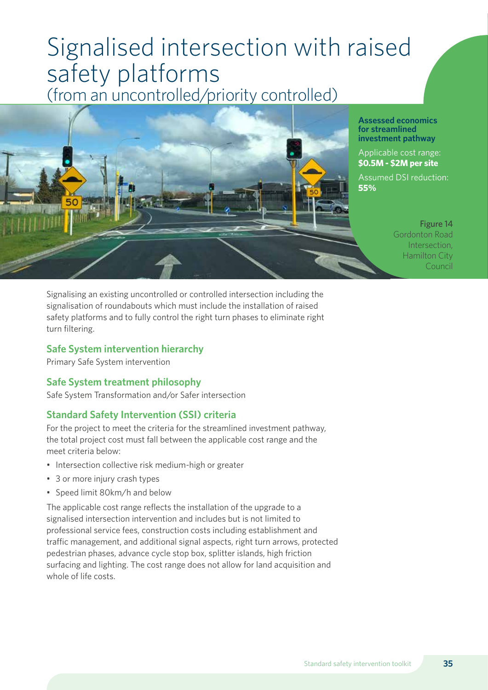### <span id="page-34-0"></span>Signalised intersection with raised safety platforms (from an uncontrolled/priority controlled)



**Assessed economics for streamlined investment pathway**

Applicable cost range: **\$0.5M - \$2M per site** 

Assumed DSI reduction: **55%**

> Figure 14 Gordonton Road Intersection, Hamilton City Council

Signalising an existing uncontrolled or controlled intersection including the signalisation of roundabouts which must include the installation of raised safety platforms and to fully control the right turn phases to eliminate right turn filtering.

#### **Safe System intervention hierarchy**

Primary Safe System intervention

#### **Safe System treatment philosophy**

Safe System Transformation and/or Safer intersection

#### **Standard Safety Intervention (SSI) criteria**

For the project to meet the criteria for the streamlined investment pathway, the total project cost must fall between the applicable cost range and the meet criteria below:

- Intersection collective risk medium-high or greater
- 3 or more injury crash types
- Speed limit 80km/h and below

The applicable cost range reflects the installation of the upgrade to a signalised intersection intervention and includes but is not limited to professional service fees, construction costs including establishment and traffic management, and additional signal aspects, right turn arrows, protected pedestrian phases, advance cycle stop box, splitter islands, high friction surfacing and lighting. The cost range does not allow for land acquisition and whole of life costs.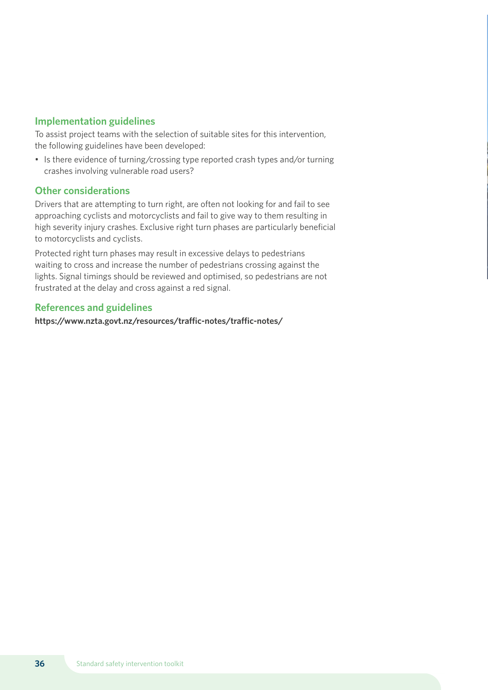#### **Implementation guidelines**

To assist project teams with the selection of suitable sites for this intervention, the following guidelines have been developed:

• Is there evidence of turning/crossing type reported crash types and/or turning crashes involving vulnerable road users?

#### **Other considerations**

Drivers that are attempting to turn right, are often not looking for and fail to see approaching cyclists and motorcyclists and fail to give way to them resulting in high severity injury crashes. Exclusive right turn phases are particularly beneficial to motorcyclists and cyclists.

Protected right turn phases may result in excessive delays to pedestrians waiting to cross and increase the number of pedestrians crossing against the lights. Signal timings should be reviewed and optimised, so pedestrians are not frustrated at the delay and cross against a red signal.

#### **References and guidelines**

**<https://www.nzta.govt.nz/resources/traffic-notes/traffic-notes/>**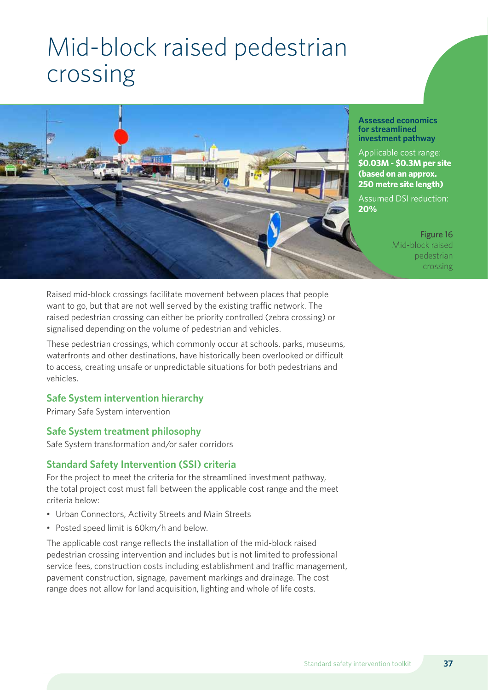## <span id="page-36-0"></span>Mid-block raised pedestrian crossing



**Assessed economics for streamlined investment pathway**

Applicable cost range: **\$0.03M - \$0.3M per site (based on an approx. 250 metre site length)** 

Assumed DSI reduction: **20%**

> Figure 16 Mid-block raised pedestrian crossing

Raised mid-block crossings facilitate movement between places that people want to go, but that are not well served by the existing traffic network. The raised pedestrian crossing can either be priority controlled (zebra crossing) or signalised depending on the volume of pedestrian and vehicles.

These pedestrian crossings, which commonly occur at schools, parks, museums, waterfronts and other destinations, have historically been overlooked or difficult to access, creating unsafe or unpredictable situations for both pedestrians and vehicles.

#### **Safe System intervention hierarchy**

Primary Safe System intervention

#### **Safe System treatment philosophy**

Safe System transformation and/or safer corridors

#### **Standard Safety Intervention (SSI) criteria**

For the project to meet the criteria for the streamlined investment pathway, the total project cost must fall between the applicable cost range and the meet criteria below:

- Urban Connectors, Activity Streets and Main Streets
- Posted speed limit is 60km/h and below.

The applicable cost range reflects the installation of the mid-block raised pedestrian crossing intervention and includes but is not limited to professional service fees, construction costs including establishment and traffic management, pavement construction, signage, pavement markings and drainage. The cost range does not allow for land acquisition, lighting and whole of life costs.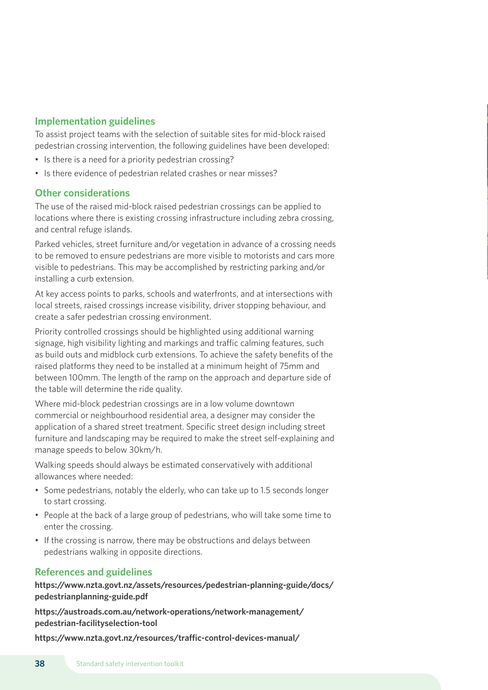#### **Implementation guidelines**

To assist project teams with the selection of suitable sites for mid-block raised pedestrian crossing intervention, the following guidelines have been developed:

- Is there is a need for a priority pedestrian crossing?
- Is there evidence of pedestrian related crashes or near misses?

#### **Other considerations**

The use of the raised mid-block raised pedestrian crossings can be applied to locations where there is existing crossing infrastructure including zebra crossing, and central refuge islands.

Parked vehicles, street furniture and/or vegetation in advance of a crossing needs to be removed to ensure pedestrians are more visible to motorists and cars more visible to pedestrians. This may be accomplished by restricting parking and/or installing a curb extension.

At key access points to parks, schools and waterfronts, and at intersections with local streets, raised crossings increase visibility, driver stopping behaviour, and create a safer pedestrian crossing environment.

Priority controlled crossings should be highlighted using additional warning signage, high visibility lighting and markings and traffic calming features, such as build outs and midblock curb extensions. To achieve the safety benefits of the raised platforms they need to be installed at a minimum height of 75mm and between 100mm. The length of the ramp on the approach and departure side of the table will determine the ride quality.

Where mid-block pedestrian crossings are in a low volume downtown commercial or neighbourhood residential area, a designer may consider the application of a shared street treatment. Specific street design including street furniture and landscaping may be required to make the street self-explaining and manage speeds to below 30km/h.

Walking speeds should always be estimated conservatively with additional allowances where needed:

- Some pedestrians, notably the elderly, who can take up to 1.5 seconds longer to start crossing.
- People at the back of a large group of pedestrians, who will take some time to enter the crossing.
- If the crossing is narrow, there may be obstructions and delays between pedestrians walking in opposite directions.

#### **References and guidelines**

**[https://www.nzta.govt.nz/assets/resources/pedestrian-planning-guide/docs/](https://www.nzta.govt.nz/assets/resources/pedestrian-planning-guide/docs/pedestrianplanning-guide.pd) [pedestrianplanning-guide.pdf](https://www.nzta.govt.nz/assets/resources/pedestrian-planning-guide/docs/pedestrianplanning-guide.pd)**

**[https://austroads.com.au/network-operations/network-management/](https://austroads.com.au/network-operations/network-management/pedestrian-facilityselection-tool) [pedestrian-facilityselection-tool](https://austroads.com.au/network-operations/network-management/pedestrian-facilityselection-tool)**

**<https://www.nzta.govt.nz/resources/traffic-control-devices-manual/>**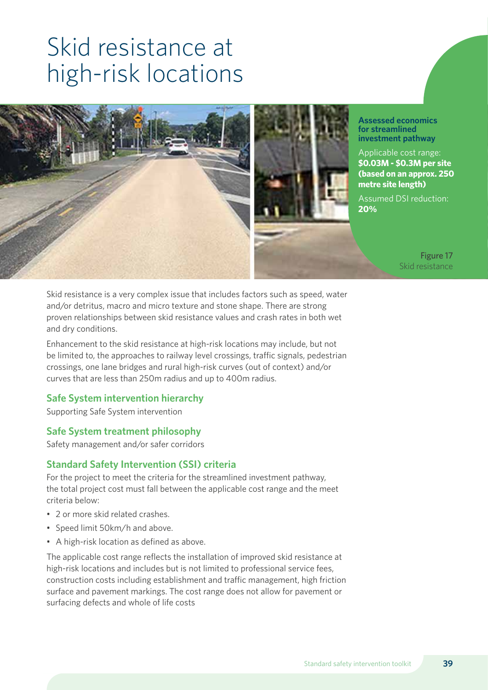## <span id="page-38-0"></span>Skid resistance at high-risk locations



**Assessed economics for streamlined investment pathway**

Applicable cost range: **\$0.03M - \$0.3M per site (based on an approx. 250 metre site length)** 

Assumed DSI reduction: **20%**

> Figure 17 Skid resistance

Skid resistance is a very complex issue that includes factors such as speed, water and/or detritus, macro and micro texture and stone shape. There are strong proven relationships between skid resistance values and crash rates in both wet and dry conditions.

Enhancement to the skid resistance at high-risk locations may include, but not be limited to, the approaches to railway level crossings, traffic signals, pedestrian crossings, one lane bridges and rural high-risk curves (out of context) and/or curves that are less than 250m radius and up to 400m radius.

#### **Safe System intervention hierarchy**

Supporting Safe System intervention

#### **Safe System treatment philosophy**

Safety management and/or safer corridors

#### **Standard Safety Intervention (SSI) criteria**

For the project to meet the criteria for the streamlined investment pathway, the total project cost must fall between the applicable cost range and the meet criteria below:

- 2 or more skid related crashes.
- Speed limit 50km/h and above.
- A high-risk location as defined as above.

The applicable cost range reflects the installation of improved skid resistance at high-risk locations and includes but is not limited to professional service fees, construction costs including establishment and traffic management, high friction surface and pavement markings. The cost range does not allow for pavement or surfacing defects and whole of life costs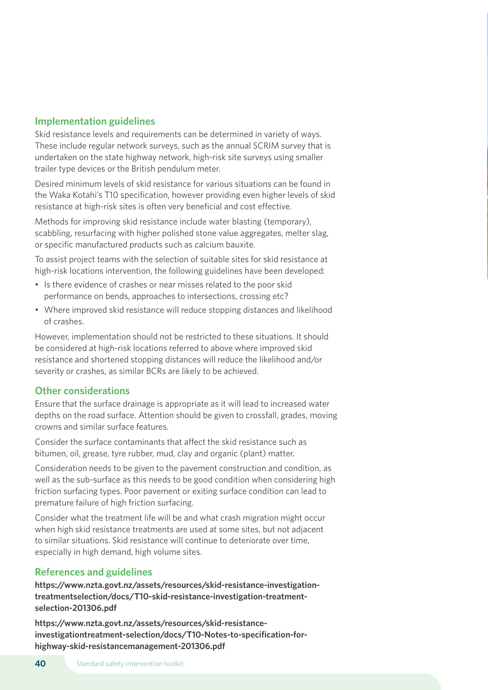#### **Implementation guidelines**

Skid resistance levels and requirements can be determined in variety of ways. These include regular network surveys, such as the annual SCRIM survey that is undertaken on the state highway network, high-risk site surveys using smaller trailer type devices or the British pendulum meter.

Desired minimum levels of skid resistance for various situations can be found in the Waka Kotahi's T10 specification, however providing even higher levels of skid resistance at high-risk sites is often very beneficial and cost effective.

Methods for improving skid resistance include water blasting (temporary), scabbling, resurfacing with higher polished stone value aggregates, melter slag, or specific manufactured products such as calcium bauxite.

To assist project teams with the selection of suitable sites for skid resistance at high-risk locations intervention, the following guidelines have been developed:

- Is there evidence of crashes or near misses related to the poor skid performance on bends, approaches to intersections, crossing etc?
- Where improved skid resistance will reduce stopping distances and likelihood of crashes.

However, implementation should not be restricted to these situations. It should be considered at high-risk locations referred to above where improved skid resistance and shortened stopping distances will reduce the likelihood and/or severity or crashes, as similar BCRs are likely to be achieved.

#### **Other considerations**

Ensure that the surface drainage is appropriate as it will lead to increased water depths on the road surface. Attention should be given to crossfall, grades, moving crowns and similar surface features.

Consider the surface contaminants that affect the skid resistance such as bitumen, oil, grease, tyre rubber, mud, clay and organic (plant) matter.

Consideration needs to be given to the pavement construction and condition, as well as the sub-surface as this needs to be good condition when considering high friction surfacing types. Poor pavement or exiting surface condition can lead to premature failure of high friction surfacing.

Consider what the treatment life will be and what crash migration might occur when high skid resistance treatments are used at some sites, but not adjacent to similar situations. Skid resistance will continue to deteriorate over time, especially in high demand, high volume sites.

#### **References and guidelines**

**[https://www.nzta.govt.nz/assets/resources/skid-resistance-investigation](https://www.nzta.govt.nz/assets/resources/skid-resistance-investigation-treatmentselection/docs/T10-)[treatmentselection/docs/T10-skid-resistance-investigation-treatment](https://www.nzta.govt.nz/assets/resources/skid-resistance-investigation-treatmentselection/docs/T10-)[selection-201306.pdf](https://www.nzta.govt.nz/assets/resources/skid-resistance-investigation-treatmentselection/docs/T10-)**

**[https://www.nzta.govt.nz/assets/resources/skid-resistance](https://www.nzta.govt.nz/assets/resources/skid-resistance-investigationtreatment-selection/docs/T10-)[investigationtreatment-selection/docs/T10-Notes-to-specification-for](https://www.nzta.govt.nz/assets/resources/skid-resistance-investigationtreatment-selection/docs/T10-)[highway-skid-resistancemanagement-201306.pdf](https://www.nzta.govt.nz/assets/resources/skid-resistance-investigationtreatment-selection/docs/T10-)**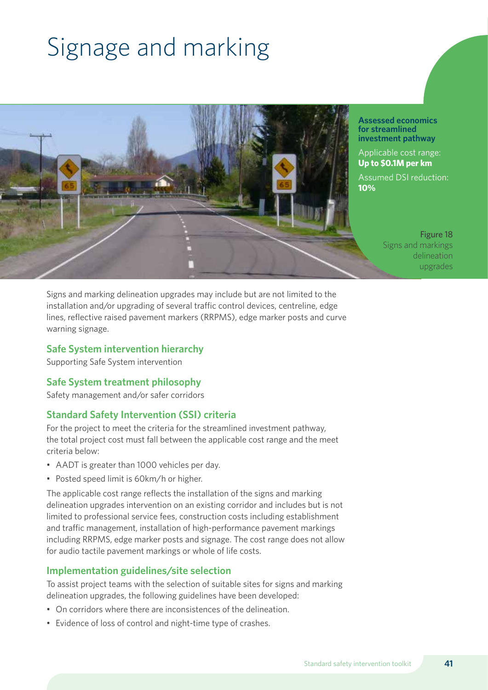# <span id="page-40-0"></span>Signage and marking



**Assessed economics for streamlined investment pathway**

Applicable cost range: **Up to \$0.1M per km** 

Assumed DSI reduction: **10%**

> Figure 18 Signs and markings delineation upgrades

Signs and marking delineation upgrades may include but are not limited to the installation and/or upgrading of several traffic control devices, centreline, edge lines, reflective raised pavement markers (RRPMS), edge marker posts and curve warning signage.

#### **Safe System intervention hierarchy**

Supporting Safe System intervention

#### **Safe System treatment philosophy**

Safety management and/or safer corridors

#### **Standard Safety Intervention (SSI) criteria**

For the project to meet the criteria for the streamlined investment pathway, the total project cost must fall between the applicable cost range and the meet criteria below:

- AADT is greater than 1000 vehicles per day.
- Posted speed limit is 60km/h or higher.

The applicable cost range reflects the installation of the signs and marking delineation upgrades intervention on an existing corridor and includes but is not limited to professional service fees, construction costs including establishment and traffic management, installation of high-performance pavement markings including RRPMS, edge marker posts and signage. The cost range does not allow for audio tactile pavement markings or whole of life costs.

#### **Implementation guidelines/site selection**

To assist project teams with the selection of suitable sites for signs and marking delineation upgrades, the following guidelines have been developed:

- On corridors where there are inconsistences of the delineation.
- Evidence of loss of control and night-time type of crashes.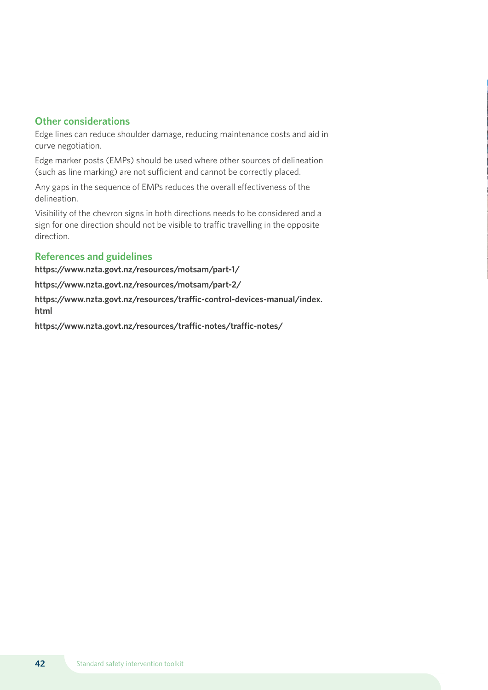#### **Other considerations**

Edge lines can reduce shoulder damage, reducing maintenance costs and aid in curve negotiation.

Edge marker posts (EMPs) should be used where other sources of delineation (such as line marking) are not sufficient and cannot be correctly placed.

Any gaps in the sequence of EMPs reduces the overall effectiveness of the delineation.

Visibility of the chevron signs in both directions needs to be considered and a sign for one direction should not be visible to traffic travelling in the opposite direction.

#### **References and guidelines**

**<https://www.nzta.govt.nz/resources/motsam/part-1/>**

**<https://www.nzta.govt.nz/resources/motsam/part-2/>**

**[https://www.nzta.govt.nz/resources/traffic-control-devices-manual/index.](https://www.nzta.govt.nz/resources/traffic-control-devices-manual/index.html) [html](https://www.nzta.govt.nz/resources/traffic-control-devices-manual/index.html)**

**[https://www.nzta.govt.nz/resources/traffic-notes/traffic-notes/](https://www.nzta.govt.nz/resources/traffic-notes/traffic-notes/ )**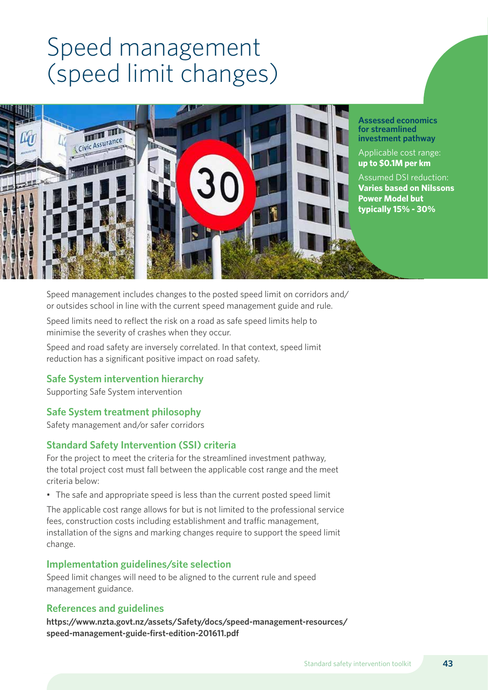## <span id="page-42-0"></span>Speed management (speed limit changes)



Speed management includes changes to the posted speed limit on corridors and/ or outsides school in line with the current speed management guide and rule.

Speed limits need to reflect the risk on a road as safe speed limits help to minimise the severity of crashes when they occur.

Speed and road safety are inversely correlated. In that context, speed limit reduction has a significant positive impact on road safety.

#### **Safe System intervention hierarchy**

Supporting Safe System intervention

#### **Safe System treatment philosophy**

Safety management and/or safer corridors

#### **Standard Safety Intervention (SSI) criteria**

For the project to meet the criteria for the streamlined investment pathway, the total project cost must fall between the applicable cost range and the meet criteria below:

• The safe and appropriate speed is less than the current posted speed limit

The applicable cost range allows for but is not limited to the professional service fees, construction costs including establishment and traffic management, installation of the signs and marking changes require to support the speed limit change.

#### **Implementation guidelines/site selection**

Speed limit changes will need to be aligned to the current rule and speed management guidance.

#### **References and guidelines**

**[https://www.nzta.govt.nz/assets/Safety/docs/speed-management-resources/](https://www.nzta.govt.nz/assets/Safety/docs/speed-management-resources/speed-management-guide-first-) [speed-management-guide-first-edition-201611.pdf](https://www.nzta.govt.nz/assets/Safety/docs/speed-management-resources/speed-management-guide-first-)**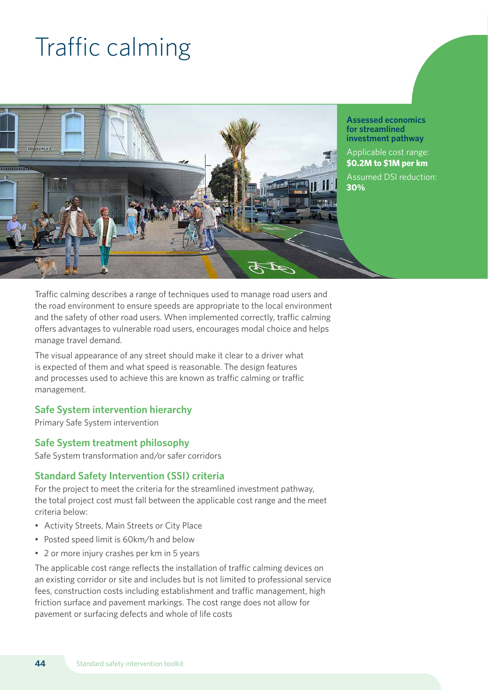# <span id="page-43-0"></span>Traffic calming



**Assessed economics for streamlined investment pathway**

Applicable cost range: **\$0.2M to \$1M per km**

Assumed DSI reduction: **30%**

Traffic calming describes a range of techniques used to manage road users and the road environment to ensure speeds are appropriate to the local environment and the safety of other road users. When implemented correctly, traffic calming offers advantages to vulnerable road users, encourages modal choice and helps manage travel demand.

The visual appearance of any street should make it clear to a driver what is expected of them and what speed is reasonable. The design features and processes used to achieve this are known as traffic calming or traffic management.

#### **Safe System intervention hierarchy**

Primary Safe System intervention

#### **Safe System treatment philosophy**

Safe System transformation and/or safer corridors

#### **Standard Safety Intervention (SSI) criteria**

For the project to meet the criteria for the streamlined investment pathway, the total project cost must fall between the applicable cost range and the meet criteria below:

- Activity Streets, Main Streets or City Place
- Posted speed limit is 60km/h and below
- 2 or more injury crashes per km in 5 years

The applicable cost range reflects the installation of traffic calming devices on an existing corridor or site and includes but is not limited to professional service fees, construction costs including establishment and traffic management, high friction surface and pavement markings. The cost range does not allow for pavement or surfacing defects and whole of life costs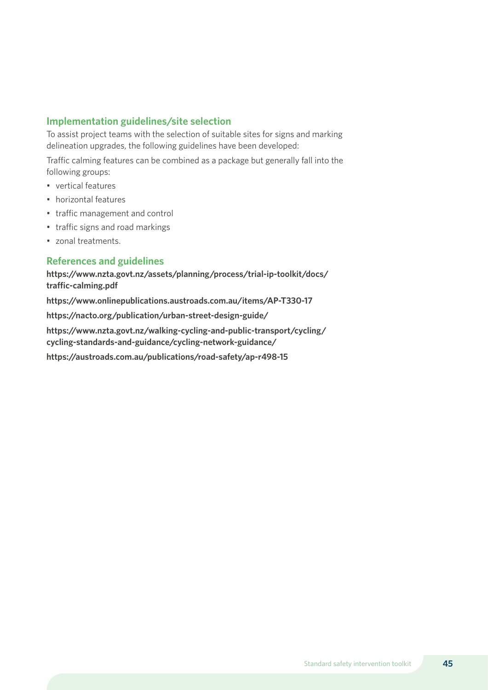#### **Implementation guidelines/site selection**

To assist project teams with the selection of suitable sites for signs and marking delineation upgrades, the following guidelines have been developed:

Traffic calming features can be combined as a package but generally fall into the following groups:

- vertical features
- horizontal features
- traffic management and control
- traffic signs and road markings
- zonal treatments.

#### **References and guidelines**

**[https://www.nzta.govt.nz/assets/planning/process/trial-ip-toolkit/docs/](https://www.nzta.govt.nz/assets/planning/process/trial-ip-toolkit/docs/traffic-calming.pdf) [traffic-calming.pdf](https://www.nzta.govt.nz/assets/planning/process/trial-ip-toolkit/docs/traffic-calming.pdf)**

**<https://www.onlinepublications.austroads.com.au/items/AP-T330-17>**

**<https://nacto.org/publication/urban-street-design-guide/>**

**[https://www.nzta.govt.nz/walking-cycling-and-public-transport/cycling/](https://www.nzta.govt.nz/walking-cycling-and-public-transport/cycling/cycling-standards-and-guidance) [cycling-standards-and-guidance/cycling-network-guidance/](https://www.nzta.govt.nz/walking-cycling-and-public-transport/cycling/cycling-standards-and-guidance)**

**<https://austroads.com.au/publications/road-safety/ap-r498-15>**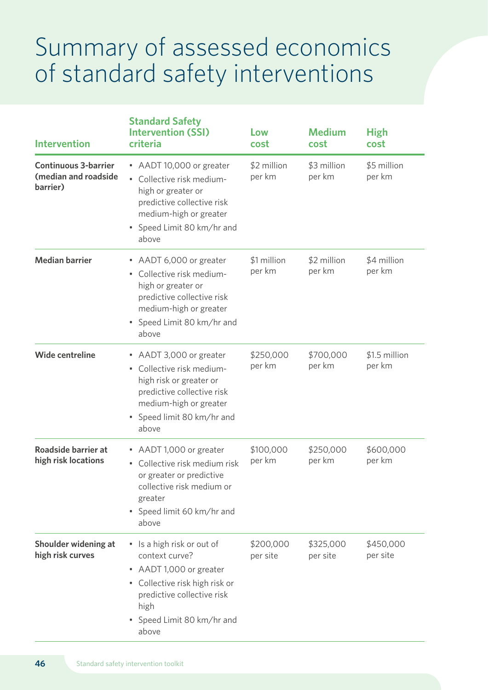## <span id="page-45-0"></span>Summary of assessed economics of standard safety interventions

| <b>Intervention</b>                                             | <b>Standard Safety</b><br><b>Intervention (SSI)</b><br>criteria                                                                                                                                 | Low<br>cost           | <b>Medium</b><br>cost | <b>High</b><br>cost     |
|-----------------------------------------------------------------|-------------------------------------------------------------------------------------------------------------------------------------------------------------------------------------------------|-----------------------|-----------------------|-------------------------|
| <b>Continuous 3-barrier</b><br>(median and roadside<br>barrier) | • AADT 10,000 or greater<br>Collective risk medium-<br>$\bullet$<br>high or greater or<br>predictive collective risk<br>medium-high or greater<br>• Speed Limit 80 km/hr and<br>above           | \$2 million<br>per km | \$3 million<br>per km | \$5 million<br>per km   |
| <b>Median barrier</b>                                           | • AADT 6,000 or greater<br>Collective risk medium-<br>۰<br>high or greater or<br>predictive collective risk<br>medium-high or greater<br>Speed Limit 80 km/hr and<br>۰<br>above                 | \$1 million<br>per km | \$2 million<br>per km | \$4 million<br>per km   |
| <b>Wide centreline</b>                                          | • AADT 3,000 or greater<br>Collective risk medium-<br>۰<br>high risk or greater or<br>predictive collective risk<br>medium-high or greater<br>• Speed limit 80 km/hr and<br>above               | \$250,000<br>per km   | \$700,000<br>per km   | \$1.5 million<br>per km |
| Roadside barrier at<br>high risk locations                      | • AADT 1,000 or greater<br>Collective risk medium risk<br>٠<br>or greater or predictive<br>collective risk medium or<br>greater<br>Speed limit 60 km/hr and<br>۰<br>above                       | \$100,000<br>per km   | \$250,000<br>per km   | \$600,000<br>per km     |
| Shoulder widening at<br>high risk curves                        | • Is a high risk or out of<br>context curve?<br>AADT 1,000 or greater<br>۰<br>Collective risk high risk or<br>۰<br>predictive collective risk<br>high<br>Speed Limit 80 km/hr and<br>۰<br>above | \$200,000<br>per site | \$325,000<br>per site | \$450,000<br>per site   |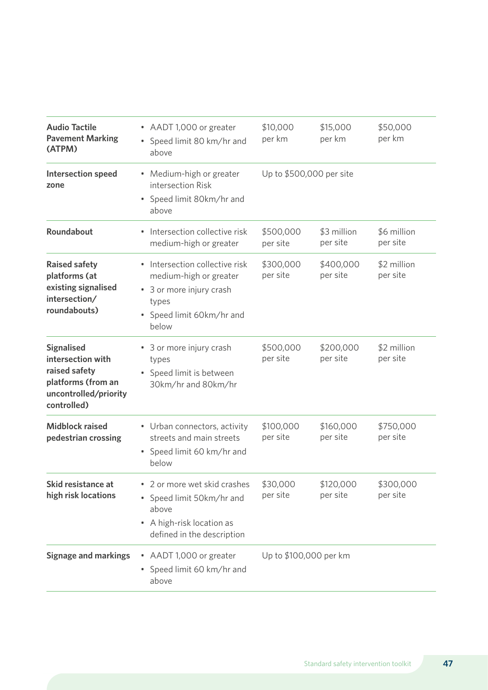| <b>Audio Tactile</b><br><b>Pavement Marking</b><br>(ATPM)                                                             | • AADT 1,000 or greater<br>• Speed limit 80 km/hr and<br>above                                                                       | \$10,000<br>per km       | \$15,000<br>per km      | \$50,000<br>per km      |
|-----------------------------------------------------------------------------------------------------------------------|--------------------------------------------------------------------------------------------------------------------------------------|--------------------------|-------------------------|-------------------------|
| <b>Intersection speed</b><br>zone                                                                                     | • Medium-high or greater<br>intersection Risk<br>• Speed limit 80km/hr and<br>above                                                  | Up to \$500,000 per site |                         |                         |
| Roundabout                                                                                                            | Intersection collective risk<br>$\bullet$<br>medium-high or greater                                                                  | \$500,000<br>per site    | \$3 million<br>per site | \$6 million<br>per site |
| <b>Raised safety</b><br>platforms (at<br>existing signalised<br>intersection/<br>roundabouts)                         | Intersection collective risk<br>medium-high or greater<br>• 3 or more injury crash<br>types<br>Speed limit 60km/hr and<br>۰<br>below | \$300,000<br>per site    | \$400,000<br>per site   | \$2 million<br>per site |
| <b>Signalised</b><br>intersection with<br>raised safety<br>platforms (from an<br>uncontrolled/priority<br>controlled) | • 3 or more injury crash<br>types<br>• Speed limit is between<br>30km/hr and 80km/hr                                                 | \$500,000<br>per site    | \$200,000<br>per site   | \$2 million<br>per site |
| <b>Midblock raised</b><br>pedestrian crossing                                                                         | • Urban connectors, activity<br>streets and main streets<br>• Speed limit 60 km/hr and<br>below                                      | \$100,000<br>per site    | \$160,000<br>per site   | \$750,000<br>per site   |
| Skid resistance at<br>high risk locations                                                                             | • 2 or more wet skid crashes<br>• Speed limit 50km/hr and<br>above<br>A high-risk location as<br>۰<br>defined in the description     | \$30,000<br>per site     | \$120,000<br>per site   | \$300,000<br>per site   |
| <b>Signage and markings</b>                                                                                           | • AADT 1,000 or greater<br>• Speed limit 60 km/hr and<br>above                                                                       | Up to \$100,000 per km   |                         |                         |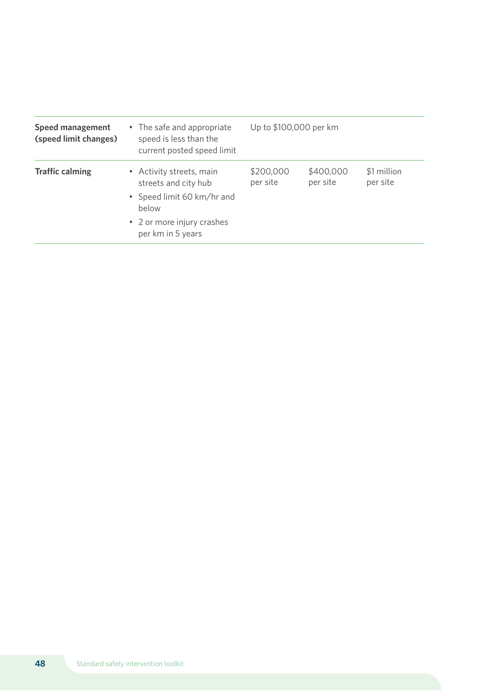| Speed management<br>(speed limit changes) | • The safe and appropriate<br>speed is less than the<br>current posted speed limit      | Up to \$100,000 per km |                       |                         |
|-------------------------------------------|-----------------------------------------------------------------------------------------|------------------------|-----------------------|-------------------------|
| <b>Traffic calming</b>                    | • Activity streets, main<br>streets and city hub<br>• Speed limit 60 km/hr and<br>below | \$200,000<br>per site  | \$400,000<br>per site | \$1 million<br>per site |
|                                           | • 2 or more injury crashes<br>per km in 5 years                                         |                        |                       |                         |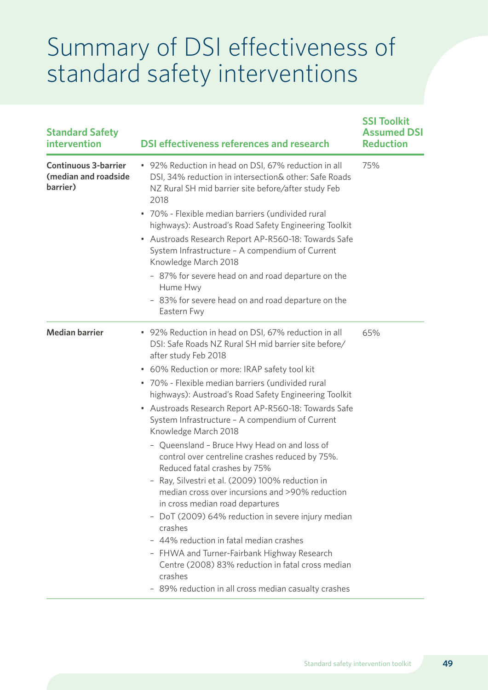## <span id="page-48-0"></span>Summary of DSI effectiveness of standard safety interventions

| <b>Standard Safety</b><br>intervention                          | <b>DSI effectiveness references and research</b>                                                                                                                                                                                                                                                                                                                                                                                                                                                                                                                                                                                                                                                                                                                                                                                                                                                                                                                                                       | <b>SSI Toolkit</b><br><b>Assumed DSI</b><br><b>Reduction</b> |
|-----------------------------------------------------------------|--------------------------------------------------------------------------------------------------------------------------------------------------------------------------------------------------------------------------------------------------------------------------------------------------------------------------------------------------------------------------------------------------------------------------------------------------------------------------------------------------------------------------------------------------------------------------------------------------------------------------------------------------------------------------------------------------------------------------------------------------------------------------------------------------------------------------------------------------------------------------------------------------------------------------------------------------------------------------------------------------------|--------------------------------------------------------------|
| <b>Continuous 3-barrier</b><br>(median and roadside<br>barrier) | • 92% Reduction in head on DSI, 67% reduction in all<br>DSI, 34% reduction in intersection& other: Safe Roads<br>NZ Rural SH mid barrier site before/after study Feb<br>2018<br>• 70% - Flexible median barriers (undivided rural<br>highways): Austroad's Road Safety Engineering Toolkit<br>Austroads Research Report AP-R560-18: Towards Safe<br>System Infrastructure - A compendium of Current<br>Knowledge March 2018<br>- 87% for severe head on and road departure on the<br>Hume Hwy<br>- 83% for severe head on and road departure on the<br>Eastern Fwy                                                                                                                                                                                                                                                                                                                                                                                                                                     | 75%                                                          |
| <b>Median barrier</b>                                           | • 92% Reduction in head on DSI, 67% reduction in all<br>DSI: Safe Roads NZ Rural SH mid barrier site before/<br>after study Feb 2018<br>• 60% Reduction or more: IRAP safety tool kit<br>• 70% - Flexible median barriers (undivided rural<br>highways): Austroad's Road Safety Engineering Toolkit<br>• Austroads Research Report AP-R560-18: Towards Safe<br>System Infrastructure - A compendium of Current<br>Knowledge March 2018<br>- Queensland - Bruce Hwy Head on and loss of<br>control over centreline crashes reduced by 75%.<br>Reduced fatal crashes by 75%<br>- Ray, Silvestri et al. (2009) 100% reduction in<br>median cross over incursions and >90% reduction<br>in cross median road departures<br>- DoT (2009) 64% reduction in severe injury median<br>crashes<br>- 44% reduction in fatal median crashes<br>- FHWA and Turner-Fairbank Highway Research<br>Centre (2008) 83% reduction in fatal cross median<br>crashes<br>- 89% reduction in all cross median casualty crashes | 65%                                                          |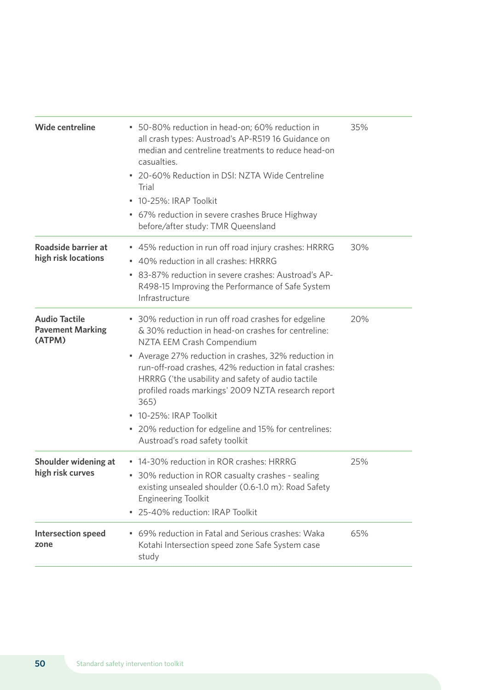| <b>Wide centreline</b>                                    | • 50-80% reduction in head-on; 60% reduction in<br>all crash types: Austroad's AP-R519 16 Guidance on<br>median and centreline treatments to reduce head-on<br>casualties.<br>• 20-60% Reduction in DSI: NZTA Wide Centreline<br>Trial<br>• 10-25%: IRAP Toolkit<br>• 67% reduction in severe crashes Bruce Highway<br>before/after study: TMR Queensland                                                                                                                                         | 35% |
|-----------------------------------------------------------|---------------------------------------------------------------------------------------------------------------------------------------------------------------------------------------------------------------------------------------------------------------------------------------------------------------------------------------------------------------------------------------------------------------------------------------------------------------------------------------------------|-----|
| Roadside barrier at<br>high risk locations                | • 45% reduction in run off road injury crashes: HRRRG<br>• 40% reduction in all crashes: HRRRG<br>83-87% reduction in severe crashes: Austroad's AP-<br>$\bullet$<br>R498-15 Improving the Performance of Safe System<br>Infrastructure                                                                                                                                                                                                                                                           | 30% |
| <b>Audio Tactile</b><br><b>Pavement Marking</b><br>(ATPM) | • 30% reduction in run off road crashes for edgeline<br>& 30% reduction in head-on crashes for centreline:<br>NZTA EEM Crash Compendium<br>Average 27% reduction in crashes, 32% reduction in<br>run-off-road crashes, 42% reduction in fatal crashes:<br>HRRRG ('the usability and safety of audio tactile<br>profiled roads markings' 2009 NZTA research report<br>365)<br>• 10-25%: IRAP Toolkit<br>20% reduction for edgeline and 15% for centrelines:<br>٠<br>Austroad's road safety toolkit | 20% |
| Shoulder widening at<br>high risk curves                  | • 14-30% reduction in ROR crashes: HRRRG<br>30% reduction in ROR casualty crashes - sealing<br>$\bullet$<br>existing unsealed shoulder (0.6-1.0 m): Road Safety<br><b>Engineering Toolkit</b><br>25-40% reduction: IRAP Toolkit                                                                                                                                                                                                                                                                   | 25% |
| <b>Intersection speed</b><br>zone                         | 69% reduction in Fatal and Serious crashes: Waka<br>Kotahi Intersection speed zone Safe System case<br>study                                                                                                                                                                                                                                                                                                                                                                                      | 65% |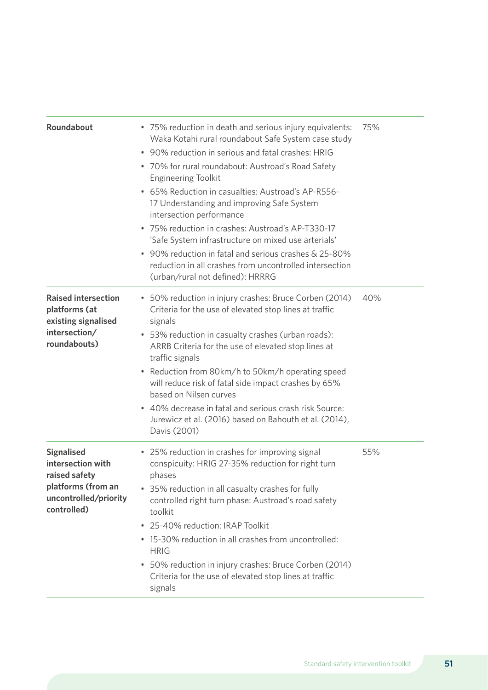| Roundabout                                                                                                            | • 75% reduction in death and serious injury equivalents:<br>Waka Kotahi rural roundabout Safe System case study<br>• 90% reduction in serious and fatal crashes: HRIG<br>• 70% for rural roundabout: Austroad's Road Safety<br><b>Engineering Toolkit</b><br>• 65% Reduction in casualties: Austroad's AP-R556-<br>17 Understanding and improving Safe System<br>intersection performance<br>• 75% reduction in crashes: Austroad's AP-T330-17<br>'Safe System infrastructure on mixed use arterials'<br>• 90% reduction in fatal and serious crashes & 25-80%<br>reduction in all crashes from uncontrolled intersection<br>(urban/rural not defined): HRRRG | 75% |
|-----------------------------------------------------------------------------------------------------------------------|---------------------------------------------------------------------------------------------------------------------------------------------------------------------------------------------------------------------------------------------------------------------------------------------------------------------------------------------------------------------------------------------------------------------------------------------------------------------------------------------------------------------------------------------------------------------------------------------------------------------------------------------------------------|-----|
| <b>Raised intersection</b><br>platforms (at<br>existing signalised<br>intersection/<br>roundabouts)                   | • 50% reduction in injury crashes: Bruce Corben (2014)<br>Criteria for the use of elevated stop lines at traffic<br>signals<br>• 53% reduction in casualty crashes (urban roads):<br>ARRB Criteria for the use of elevated stop lines at<br>traffic signals<br>• Reduction from 80km/h to 50km/h operating speed<br>will reduce risk of fatal side impact crashes by 65%<br>based on Nilsen curves<br>• 40% decrease in fatal and serious crash risk Source:<br>Jurewicz et al. (2016) based on Bahouth et al. (2014),<br>Davis (2001)                                                                                                                        | 40% |
| <b>Signalised</b><br>intersection with<br>raised safety<br>platforms (from an<br>uncontrolled/priority<br>controlled) | • 25% reduction in crashes for improving signal<br>conspicuity: HRIG 27-35% reduction for right turn<br>phases<br>35% reduction in all casualty crashes for fully<br>controlled right turn phase: Austroad's road safety<br>toolkit<br>• 25-40% reduction: IRAP Toolkit<br>• 15-30% reduction in all crashes from uncontrolled:<br><b>HRIG</b><br>50% reduction in injury crashes: Bruce Corben (2014)<br>$\bullet$<br>Criteria for the use of elevated stop lines at traffic<br>signals                                                                                                                                                                      | 55% |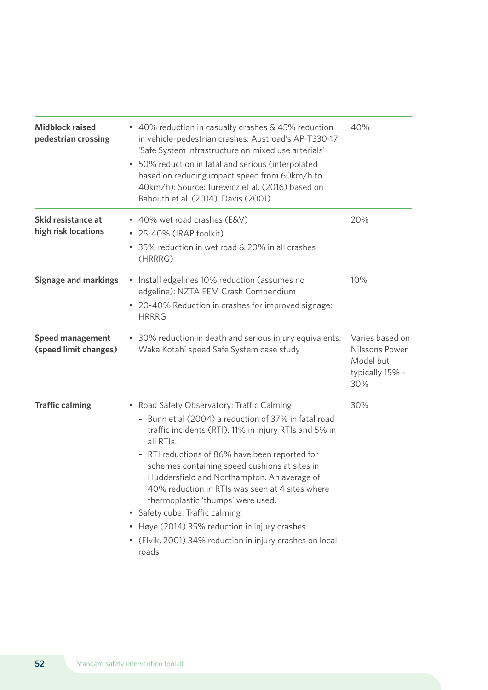| <b>Midblock raised</b><br>pedestrian crossing    | • 40% reduction in casualty crashes & 45% reduction<br>in vehicle-pedestrian crashes: Austroad's AP-T330-17<br>'Safe System infrastructure on mixed use arterials'<br>50% reduction in fatal and serious (interpolated<br>based on reducing impact speed from 60km/h to<br>40km/h): Source: Jurewicz et al. (2016) based on<br>Bahouth et al. (2014), Davis (2001)                                                                                                                                                                                                     | 40%                                                                      |
|--------------------------------------------------|------------------------------------------------------------------------------------------------------------------------------------------------------------------------------------------------------------------------------------------------------------------------------------------------------------------------------------------------------------------------------------------------------------------------------------------------------------------------------------------------------------------------------------------------------------------------|--------------------------------------------------------------------------|
| Skid resistance at<br>high risk locations        | • 40% wet road crashes (E&V)<br>• 25-40% (IRAP toolkit)<br>35% reduction in wet road & 20% in all crashes<br>٠<br>(HRRRG)                                                                                                                                                                                                                                                                                                                                                                                                                                              | 20%                                                                      |
| <b>Signage and markings</b>                      | • Install edgelines 10% reduction (assumes no<br>edgeline): NZTA EEM Crash Compendium<br>20-40% Reduction in crashes for improved signage:<br>$\bullet$<br><b>HRRRG</b>                                                                                                                                                                                                                                                                                                                                                                                                | 10%                                                                      |
| <b>Speed management</b><br>(speed limit changes) | • 30% reduction in death and serious injury equivalents:<br>Waka Kotahi speed Safe System case study                                                                                                                                                                                                                                                                                                                                                                                                                                                                   | Varies based on<br>Nilssons Power<br>Model but<br>typically 15% -<br>30% |
| <b>Traffic calming</b>                           | • Road Safety Observatory: Traffic Calming<br>- Bunn et al (2004) a reduction of 37% in fatal road<br>traffic incidents (RTI), 11% in injury RTIs and 5% in<br>all RTIs.<br>- RTI reductions of 86% have been reported for<br>schemes containing speed cushions at sites in<br>Huddersfield and Northampton. An average of<br>40% reduction in RTIs was seen at 4 sites where<br>thermoplastic 'thumps' were used.<br>• Safety cube: Traffic calming<br>Høye (2014) 35% reduction in injury crashes<br>(Elvik, 2001) 34% reduction in injury crashes on local<br>roads | 30%                                                                      |